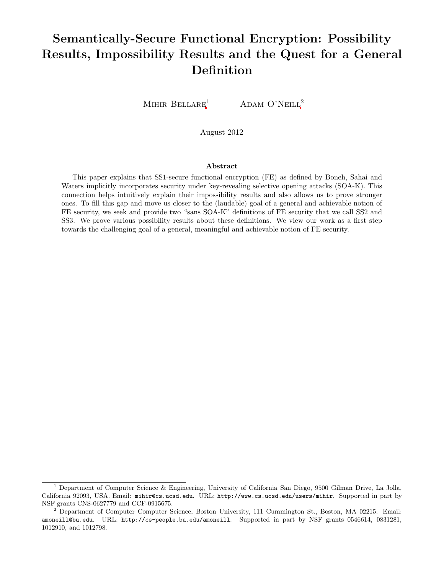# Semantically-Secure Functional Encryption: Possibility Results, Impossibility Results and the Quest for a General Definition

MIHIR BELLARE<sup>1</sup> ADAM O'NEILL<sup>2</sup>

August 2012

#### Abstract

This paper explains that SS1-secure functional encryption (FE) as defined by Boneh, Sahai and Waters implicitly incorporates security under key-revealing selective opening attacks (SOA-K). This connection helps intuitively explain their impossibility results and also allows us to prove stronger ones. To fill this gap and move us closer to the (laudable) goal of a general and achievable notion of FE security, we seek and provide two "sans SOA-K" definitions of FE security that we call SS2 and SS3. We prove various possibility results about these definitions. We view our work as a first step towards the challenging goal of a general, meaningful and achievable notion of FE security.

<sup>&</sup>lt;sup>1</sup> Department of Computer Science & Engineering, University of California San Diego, 9500 Gilman Drive, La Jolla, California 92093, USA. Email: mihir@cs.ucsd.edu. URL: http://www.cs.ucsd.edu/users/mihir. Supported in part by NSF grants CNS-0627779 and CCF-0915675.

<sup>&</sup>lt;sup>2</sup> Department of Computer Computer Science, Boston University, 111 Cummington St., Boston, MA 02215. Email: amoneill@bu.edu. URL: http://cs-people.bu.edu/amoneill. Supported in part by NSF grants 0546614, 0831281, 1012910, and 1012798.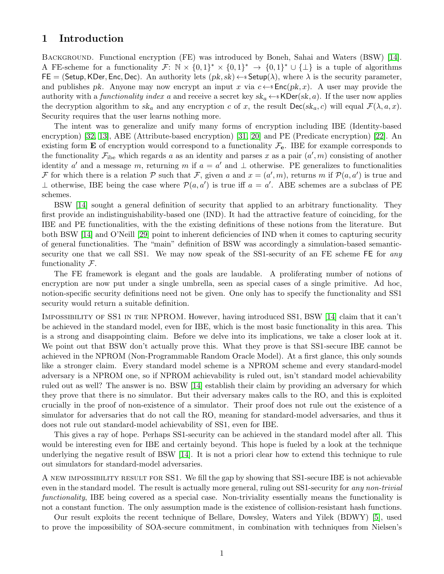## <span id="page-1-0"></span>1 Introduction

BACKGROUND. Functional encryption (FE) was introduced by Boneh, Sahai and Waters (BSW) [\[14\]](#page-21-0). A FE-scheme for a functionality  $\mathcal{F}: \mathbb{N} \times \{0,1\}^* \times \{0,1\}^* \to \{0,1\}^* \cup \{\perp\}$  is a tuple of algorithms  $FE = (Setup, KDer, Enc, Dec)$ . An authority lets  $(pk, sk) \leftarrow s$  Setup( $\lambda$ ), where  $\lambda$  is the security parameter, and publishes pk. Anyone may now encrypt an input x via  $c \leftarrow s \text{Enc}(pk, x)$ . A user may provide the authority with a *functionality index a* and receive a secret key  $sk_a \leftarrow sKDer(sk, a)$ . If the user now applies the decryption algorithm to  $sk_a$  and any encryption c of x, the result  $\text{Dec}(sk_a, c)$  will equal  $\mathcal{F}(\lambda, a, x)$ . Security requires that the user learns nothing more.

The intent was to generalize and unify many forms of encryption including IBE (Identity-based encryption) [\[32,](#page-22-0) [13\]](#page-21-1), ABE (Attribute-based encryption) [\[31,](#page-22-1) [20\]](#page-21-2) and PE (Predicate encryption) [\[22\]](#page-21-3). An existing form  $\bf E$  of encryption would correspond to a functionality  $\mathcal{F}_{\bf e}$ . IBE for example corresponds to the functionality  $\mathcal{F}_{\text{ibe}}$  which regards a as an identity and parses x as a pair  $(a', m)$  consisting of another identity a' and a message m, returning m if  $a = a'$  and  $\perp$  otherwise. PE generalizes to functionalities F for which there is a relation P such that F, given a and  $x = (a', m)$ , returns m if  $\mathcal{P}(a, a')$  is true and ⊥ otherwise, IBE being the case where  $\mathcal{P}(a, a')$  is true iff  $a = a'$ . ABE schemes are a subclass of PE schemes.

BSW [\[14\]](#page-21-0) sought a general definition of security that applied to an arbitrary functionality. They first provide an indistinguishability-based one (IND). It had the attractive feature of coinciding, for the IBE and PE functionalities, with the the existing definitions of these notions from the literature. But both BSW [\[14\]](#page-21-0) and O'Neill [\[29\]](#page-22-2) point to inherent deficiencies of IND when it comes to capturing security of general functionalities. The "main" definition of BSW was accordingly a simulation-based semanticsecurity one that we call SS1. We may now speak of the SS1-security of an FE scheme FE for any functionality  $\mathcal{F}.$ 

The FE framework is elegant and the goals are laudable. A proliferating number of notions of encryption are now put under a single umbrella, seen as special cases of a single primitive. Ad hoc, notion-specific security definitions need not be given. One only has to specify the functionality and SS1 security would return a suitable definition.

Impossibility of SS1 in the NPROM. However, having introduced SS1, BSW [\[14\]](#page-21-0) claim that it can't be achieved in the standard model, even for IBE, which is the most basic functionality in this area. This is a strong and disappointing claim. Before we delve into its implications, we take a closer look at it. We point out that BSW don't actually prove this. What they prove is that SS1-secure IBE cannot be achieved in the NPROM (Non-Programmable Random Oracle Model). At a first glance, this only sounds like a stronger claim. Every standard model scheme is a NPROM scheme and every standard-model adversary is a NPROM one, so if NPROM achievability is ruled out, isn't standard model achievability ruled out as well? The answer is no. BSW [\[14\]](#page-21-0) establish their claim by providing an adversary for which they prove that there is no simulator. But their adversary makes calls to the RO, and this is exploited crucially in the proof of non-existence of a simulator. Their proof does not rule out the existence of a simulator for adversaries that do not call the RO, meaning for standard-model adversaries, and thus it does not rule out standard-model achievability of SS1, even for IBE.

This gives a ray of hope. Perhaps SS1-security can be achieved in the standard model after all. This would be interesting even for IBE and certainly beyond. This hope is fueled by a look at the technique underlying the negative result of BSW [\[14\]](#page-21-0). It is not a priori clear how to extend this technique to rule out simulators for standard-model adversaries.

A new impossibility result for SS1. We fill the gap by showing that SS1-secure IBE is not achievable even in the standard model. The result is actually more general, ruling out SS1-security for any non-trivial functionality, IBE being covered as a special case. Non-triviality essentially means the functionality is not a constant function. The only assumption made is the existence of collision-resistant hash functions.

Our result exploits the recent technique of Bellare, Dowsley, Waters and Yilek (BDWY) [\[5\]](#page-20-0), used to prove the impossibility of SOA-secure commitment, in combination with techniques from Nielsen's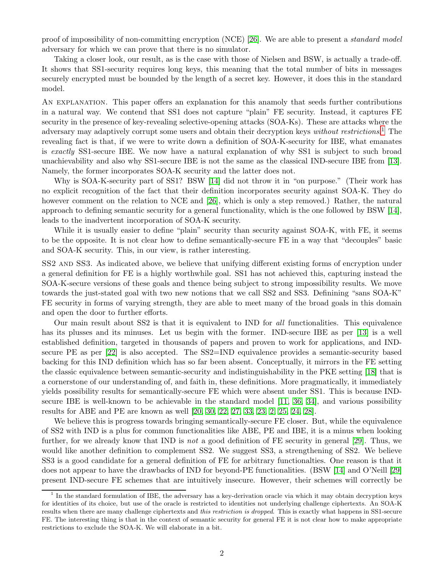<span id="page-2-1"></span>proof of impossibility of non-committing encryption (NCE) [\[26\]](#page-21-4). We are able to present a standard model adversary for which we can prove that there is no simulator.

Taking a closer look, our result, as is the case with those of Nielsen and BSW, is actually a trade-off. It shows that SS1-security requires long keys, this meaning that the total number of bits in messages securely encrypted must be bounded by the length of a secret key. However, it does this in the standard model.

An explanation. This paper offers an explanation for this anamoly that seeds further contributions in a natural way. We contend that SS1 does not capture "plain" FE security. Instead, it captures FE security in the presence of key-revealing selective-opening attacks (SOA-Ks). These are attacks where the adversary may adaptively corrupt some users and obtain their decryption keys *without restrictions*.<sup>[1](#page-2-0)</sup> The revealing fact is that, if we were to write down a definition of SOA-K-security for IBE, what emanates is exactly SS1-secure IBE. We now have a natural explanation of why SS1 is subject to such broad unachievability and also why SS1-secure IBE is not the same as the classical IND-secure IBE from [\[13\]](#page-21-1). Namely, the former incorporates SOA-K security and the latter does not.

Why is SOA-K-security part of SS1? BSW [\[14\]](#page-21-0) did not throw it in "on purpose." (Their work has no explicit recognition of the fact that their definition incorporates security against SOA-K. They do however comment on the relation to NCE and [\[26\]](#page-21-4), which is only a step removed.) Rather, the natural approach to defining semantic security for a general functionality, which is the one followed by BSW [\[14\]](#page-21-0), leads to the inadvertent incorporation of SOA-K security.

While it is usually easier to define "plain" security than security against SOA-K, with FE, it seems to be the opposite. It is not clear how to define semantically-secure FE in a way that "decouples" basic and SOA-K security. This, in our view, is rather interesting.

SS2 AND SS3. As indicated above, we believe that unifying different existing forms of encryption under a general definition for FE is a highly worthwhile goal. SS1 has not achieved this, capturing instead the SOA-K-secure versions of these goals and thence being subject to strong impossibility results. We move towards the just-stated goal with two new notions that we call SS2 and SS3. Definining "sans SOA-K" FE security in forms of varying strength, they are able to meet many of the broad goals in this domain and open the door to further efforts.

Our main result about SS2 is that it is equivalent to IND for all functionalities. This equivalence has its plusses and its minuses. Let us begin with the former. IND-secure IBE as per [\[13\]](#page-21-1) is a well established definition, targeted in thousands of papers and proven to work for applications, and INDsecure PE as per [\[22\]](#page-21-3) is also accepted. The SS2=IND equivalence provides a semantic-security based backing for this IND definition which has so far been absent. Conceptually, it mirrors in the FE setting the classic equivalence between semantic-security and indistinguishability in the PKE setting [\[18\]](#page-21-5) that is a cornerstone of our understanding of, and faith in, these definitions. More pragmatically, it immediately yields possibility results for semantically-secure FE which were absent under SS1. This is because INDsecure IBE is well-known to be achievable in the standard model [\[11,](#page-21-6) [36,](#page-22-3) [34\]](#page-22-4), and various possibility results for ABE and PE are known as well [\[20,](#page-21-2) [30,](#page-22-5) [22,](#page-21-3) [27,](#page-22-6) [33,](#page-22-7) [23,](#page-21-7) [2,](#page-20-1) [25,](#page-21-8) [24,](#page-21-9) [28\]](#page-22-8).

We believe this is progress towards bringing semantically-secure FE closer. But, while the equivalence of SS2 with IND is a plus for common functionalities like ABE, PE and IBE, it is a minus when looking further, for we already know that IND is not a good definition of FE security in general [\[29\]](#page-22-2). Thus, we would like another definition to complement SS2. We suggest SS3, a strengthening of SS2. We believe SS3 is a good candidate for a general definition of FE for arbitrary functionalties. One reason is that it does not appear to have the drawbacks of IND for beyond-PE functionalities. (BSW [\[14\]](#page-21-0) and O'Neill [\[29\]](#page-22-2) present IND-secure FE schemes that are intuitively insecure. However, their schemes will correctly be

<span id="page-2-0"></span><sup>1</sup> In the standard formulation of IBE, the adversary has a key-derivation oracle via which it may obtain decryption keys for identities of its choice, but use of the oracle is restricted to identities not underlying challenge ciphertexts. An SOA-K results when there are many challenge ciphertexts and *this restriction is dropped*. This is exactly what happens in SS1-secure FE. The interesting thing is that in the context of semantic security for general FE it is not clear how to make appropriate restrictions to exclude the SOA-K. We will elaborate in a bit.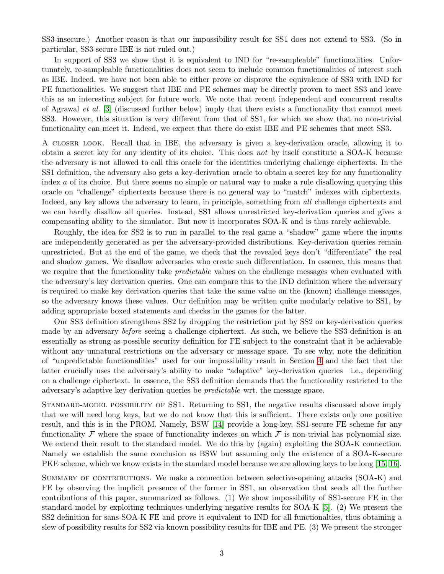<span id="page-3-0"></span>SS3-insecure.) Another reason is that our impossibility result for SS1 does not extend to SS3. (So in particular, SS3-secure IBE is not ruled out.)

In support of SS3 we show that it is equivalent to IND for "re-sampleable" functionalities. Unfortunately, re-sampleable functionalities does not seem to include common functionalities of interest such as IBE. Indeed, we have not been able to either prove or disprove the equivalence of SS3 with IND for PE functionalities. We suggest that IBE and PE schemes may be directly proven to meet SS3 and leave this as an interesting subject for future work. We note that recent independent and concurrent results of Agrawal et al. [\[3\]](#page-20-2) (discussed further below) imply that there exists a functionality that cannot meet SS3. However, this situation is very different from that of SS1, for which we show that no non-trivial functionality can meet it. Indeed, we expect that there do exist IBE and PE schemes that meet SS3.

A closer look. Recall that in IBE, the adversary is given a key-derivation oracle, allowing it to obtain a secret key for any identity of its choice. This does not by itself constitute a SOA-K because the adversary is not allowed to call this oracle for the identities underlying challenge ciphertexts. In the SS1 definition, the adversary also gets a key-derivation oracle to obtain a secret key for any functionality index a of its choice. But there seems no simple or natural way to make a rule disallowing querying this oracle on "challenge" ciphertexts because there is no general way to "match" indexes with ciphertexts. Indeed, any key allows the adversary to learn, in principle, something from all challenge ciphertexts and we can hardly disallow all queries. Instead, SS1 allows unrestricted key-derivation queries and gives a compensating ability to the simulator. But now it incorporates SOA-K and is thus rarely achievable.

Roughly, the idea for SS2 is to run in parallel to the real game a "shadow" game where the inputs are independently generated as per the adversary-provided distributions. Key-derivation queries remain unrestricted. But at the end of the game, we check that the revealed keys don't "differentiate" the real and shadow games. We disallow adversaries who create such differentiation. In essence, this means that we require that the functionality take *predictable* values on the challenge messages when evaluated with the adversary's key derivation queries. One can compare this to the IND definition where the adversary is required to make key derivation queries that take the same value on the (known) challenge messages, so the adversary knows these values. Our definition may be written quite modularly relative to SS1, by adding appropriate boxed statements and checks in the games for the latter.

Our SS3 definition strengthens SS2 by dropping the restriction put by SS2 on key-derivation queries made by an adversary *before* seeing a challenge ciphertext. As such, we believe the SS3 definition is an essentially as-strong-as-possible security definition for FE subject to the constraint that it be achievable without any unnatural restrictions on the adversary or message space. To see why, note the definition of "unpredictable functionalities" used for our impossibility result in Section [4](#page-8-0) and the fact that the latter crucially uses the adversary's ability to make "adaptive" key-derivation queries—i.e., depending on a challenge ciphertext. In essence, the SS3 definition demands that the functionality restricted to the adversary's adaptive key derivation queries be predictable wrt. the message space.

Standard-model possibility of SS1. Returning to SS1, the negative results discussed above imply that we will need long keys, but we do not know that this is sufficient. There exists only one positive result, and this is in the PROM. Namely, BSW [\[14\]](#page-21-0) provide a long-key, SS1-secure FE scheme for any functionality  $\mathcal F$  where the space of functionality indexes on which  $\mathcal F$  is non-trivial has polynomial size. We extend their result to the standard model. We do this by (again) exploiting the SOA-K connection. Namely we establish the same conclusion as BSW but assuming only the existence of a SOA-K-secure PKE scheme, which we know exists in the standard model because we are allowing keys to be long [\[15,](#page-21-10) [16\]](#page-21-11).

SUMMARY OF CONTRIBUTIONS. We make a connection between selective-opening attacks (SOA-K) and FE by observing the implicit presence of the former in SS1, an observation that seeds all the further contributions of this paper, summarized as follows. (1) We show impossibility of SS1-secure FE in the standard model by exploiting techniques underlying negative results for SOA-K [\[5\]](#page-20-0). (2) We present the SS2 definition for sans-SOA-K FE and prove it equivalent to IND for all functionalties, thus obtaining a slew of possibility results for SS2 via known possibility results for IBE and PE. (3) We present the stronger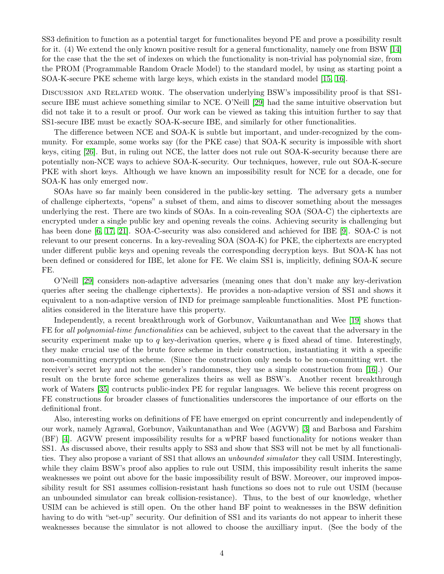<span id="page-4-0"></span>SS3 definition to function as a potential target for functionalites beyond PE and prove a possibility result for it. (4) We extend the only known positive result for a general functionality, namely one from BSW [\[14\]](#page-21-0) for the case that the the set of indexes on which the functionality is non-trivial has polynomial size, from the PROM (Programmable Random Oracle Model) to the standard model, by using as starting point a SOA-K-secure PKE scheme with large keys, which exists in the standard model [\[15,](#page-21-10) [16\]](#page-21-11).

Discussion and Related work. The observation underlying BSW's impossibility proof is that SS1 secure IBE must achieve something similar to NCE. O'Neill [\[29\]](#page-22-2) had the same intuitive observation but did not take it to a result or proof. Our work can be viewed as taking this intuition further to say that SS1-secure IBE must be exactly SOA-K-secure IBE, and similarly for other functionalities.

The difference between NCE and SOA-K is subtle but important, and under-recognized by the community. For example, some works say (for the PKE case) that SOA-K security is impossible with short keys, citing [\[26\]](#page-21-4). But, in ruling out NCE, the latter does not rule out SOA-K-security because there are potentially non-NCE ways to achieve SOA-K-security. Our techniques, however, rule out SOA-K-secure PKE with short keys. Although we have known an impossibility result for NCE for a decade, one for SOA-K has only emerged now.

SOAs have so far mainly been considered in the public-key setting. The adversary gets a number of challenge ciphertexts, "opens" a subset of them, and aims to discover something about the messages underlying the rest. There are two kinds of SOAs. In a coin-revealing SOA (SOA-C) the ciphertexts are encrypted under a single public key and opening reveals the coins. Achieving security is challenging but has been done [\[6,](#page-20-3) [17,](#page-21-12) [21\]](#page-21-13). SOA-C-security was also considered and achieved for IBE [\[9\]](#page-21-14). SOA-C is not relevant to our present concerns. In a key-revealing SOA (SOA-K) for PKE, the ciphertexts are encrypted under different public keys and opening reveals the corresponding decryption keys. But SOA-K has not been defined or considered for IBE, let alone for FE. We claim SS1 is, implicitly, defining SOA-K secure FE.

O'Neill [\[29\]](#page-22-2) considers non-adaptive adversaries (meaning ones that don't make any key-derivation queries after seeing the challenge ciphertexts). He provides a non-adaptive version of SS1 and shows it equivalent to a non-adaptive version of IND for preimage sampleable functionalities. Most PE functionalities considered in the literature have this property.

Independently, a recent breakthrough work of Gorbunov, Vaikuntanathan and Wee [\[19\]](#page-21-15) shows that FE for all polynomial-time functionalities can be achieved, subject to the caveat that the adversary in the security experiment make up to q key-derivation queries, where q is fixed ahead of time. Interestingly, they make crucial use of the brute force scheme in their construction, instantiating it with a specific non-committing encryption scheme. (Since the construction only needs to be non-committing wrt. the receiver's secret key and not the sender's randomness, they use a simple construction from [\[16\]](#page-21-11).) Our result on the brute force scheme generalizes theirs as well as BSW's. Another recent breakthrough work of Waters [\[35\]](#page-22-9) contructs public-index PE for regular languages. We believe this recent progress on FE constructions for broader classes of functionalities underscores the importance of our efforts on the definitional front.

Also, interesting works on definitions of FE have emerged on eprint concurrently and independently of our work, namely Agrawal, Gorbunov, Vaikuntanathan and Wee (AGVW) [\[3\]](#page-20-2) and Barbosa and Farshim (BF) [\[4\]](#page-20-4). AGVW present impossibility results for a wPRF based functionality for notions weaker than SS1. As discussed above, their results apply to SS3 and show that SS3 will not be met by all functionalities. They also propose a variant of SS1 that allows an unbounded simulator they call USIM. Interestingly, while they claim BSW's proof also applies to rule out USIM, this impossibility result inherits the same weaknesses we point out above for the basic impossibility result of BSW. Moreover, our improved impossibility result for SS1 assumes collision-resistant hash functions so does not to rule out USIM (because an unbounded simulator can break collision-resistance). Thus, to the best of our knowledge, whether USIM can be achieved is still open. On the other hand BF point to weaknesses in the BSW definition having to do with "set-up" security. Our definition of SS1 and its variants do not appear to inherit these weaknesses because the simulator is not allowed to choose the auxilliary input. (See the body of the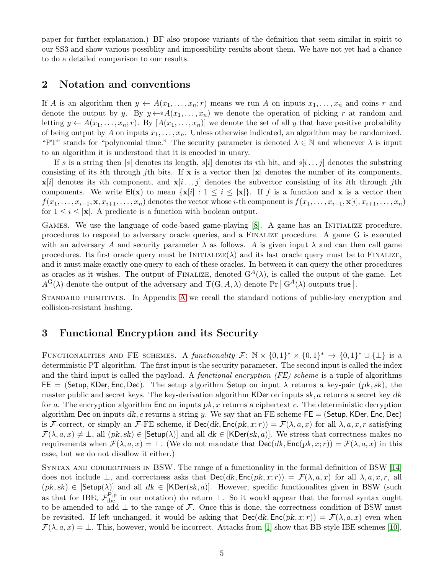<span id="page-5-0"></span>paper for further explanation.) BF also propose variants of the definition that seem similar in spirit to our SS3 and show various possiblity and impossibility results about them. We have not yet had a chance to do a detailed comparison to our results.

# 2 Notation and conventions

If A is an algorithm then  $y \leftarrow A(x_1, \ldots, x_n; r)$  means we run A on inputs  $x_1, \ldots, x_n$  and coins r and denote the output by y. By  $y \leftarrow^* A(x_1, \ldots, x_n)$  we denote the operation of picking r at random and letting  $y \leftarrow A(x_1, \ldots, x_n; r)$ . By  $[A(x_1, \ldots, x_n)]$  we denote the set of all y that have positive probability of being output by A on inputs  $x_1, \ldots, x_n$ . Unless otherwise indicated, an algorithm may be randomized. "PT" stands for "polynomial time." The security parameter is denoted  $\lambda \in \mathbb{N}$  and whenever  $\lambda$  is input to an algorithm it is understood that it is encoded in unary.

If s is a string then |s| denotes its length, s[i] denotes its ith bit, and  $s[i...j]$  denotes the substring consisting of its *i*th through *j*th bits. If  $x$  is a vector then  $|x|$  denotes the number of its components,  $\mathbf{x}[i]$  denotes its ith component, and  $\mathbf{x}[i \dots j]$  denotes the subvector consisting of its ith through jth components. We write  $E(x)$  to mean  $\{x[i] : 1 \le i \le |x|\}$ . If f is a function and x is a vector then  $f(x_1, \ldots, x_{i-1}, \mathbf{x}, x_{i+1}, \ldots, x_n)$  denotes the vector whose i-th component is  $f(x_1, \ldots, x_{i-1}, \mathbf{x}[i], x_{i+1}, \ldots, x_n)$ for  $1 \leq i \leq |\mathbf{x}|$ . A predicate is a function with boolean output.

GAMES. We use the language of code-based game-playing [\[8\]](#page-21-16). A game has an INITIALIZE procedure, procedures to respond to adversary oracle queries, and a Finalize procedure. A game G is executed with an adversary A and security parameter  $\lambda$  as follows. A is given input  $\lambda$  and can then call game procedures. Its first oracle query must be INITIALIZE( $\lambda$ ) and its last oracle query must be to FINALIZE, and it must make exactly one query to each of these oracles. In between it can query the other procedures as oracles as it wishes. The output of FINALIZE, denoted  $G^{A}(\lambda)$ , is called the output of the game. Let  $A^{\mathcal{G}}(\lambda)$  denote the output of the adversary and  $T(\mathcal{G}, A, \lambda)$  denote Pr  $\lceil G^A(\lambda) \rceil$  outputs true.

STANDARD PRIMITIVES. In [A](#page-22-10)ppendix A we recall the standard notions of public-key encryption and collision-resistant hashing.

# 3 Functional Encryption and its Security

FUNCTIONALITIES AND FE SCHEMES. A functionality  $\mathcal{F}$ :  $\mathbb{N} \times \{0,1\}^* \times \{0,1\}^* \to \{0,1\}^* \cup \{\perp\}$  is a deterministic PT algorithm. The first input is the security parameter. The second input is called the index and the third input is called the payload. A *functional encryption (FE) scheme* is a tuple of algorithms  $FE = (Setup, KDer, Enc, Dec).$  The setup algorithm Setup on input  $\lambda$  returns a key-pair (pk, sk), the master public and secret keys. The key-derivation algorithm KDer on inputs sk, a returns a secret key dk for a. The encryption algorithm  $\mathsf{Enc}$  on inputs  $pk, x$  returns a ciphertext c. The deterministic decryption algorithm Dec on inputs dk, c returns a string y. We say that an FE scheme  $FE = (Setup, KDer, Enc, Dec)$ is F-correct, or simply an F-FE scheme, if  $\text{Dec}(dk, \text{Enc}(pk, x; r)) = \mathcal{F}(\lambda, a, x)$  for all  $\lambda, a, x, r$  satisfying  $\mathcal{F}(\lambda, a, x) \neq \bot$ , all  $(pk, sk) \in [Setup(\lambda)]$  and all  $dk \in [KDer(\mathcal{S}k, a)]$ . We stress that correctness makes no requirements when  $\mathcal{F}(\lambda, a, x) = \bot$ . (We do not mandate that  $\text{Dec}(dk, \text{Enc}(pk, x; r)) = \mathcal{F}(\lambda, a, x)$  in this case, but we do not disallow it either.)

SYNTAX AND CORRECTNESS IN BSW. The range of a functionality in the formal definition of BSW [\[14\]](#page-21-0) does not include  $\perp$ , and correctness asks that  $\text{Dec}(dk, \text{Enc}(pk, x; r)) = \mathcal{F}(\lambda, a, x)$  for all  $\lambda, a, x, r$ , all  $(pk, sk) \in [Setup(\lambda)]$  and all  $dk \in [KDer(sk, a)]$ . However, specific functionalites given in BSW (such as that for IBE,  $\mathcal{F}_{\text{ibe}}^{\text{P,p}}$  in our notation) do return  $\perp$ . So it would appear that the formal syntax ought to be amended to add  $\perp$  to the range of F. Once this is done, the correctness condition of BSW must be revisited. If left unchanged, it would be asking that  $\text{Dec}(dk, \text{Enc}(pk, x; r)) = \mathcal{F}(\lambda, a, x)$  even when  $\mathcal{F}(\lambda, a, x) = \bot$ . This, however, would be incorrect. Attacks from [\[1\]](#page-20-5) show that BB-style IBE schemes [\[10\]](#page-21-17),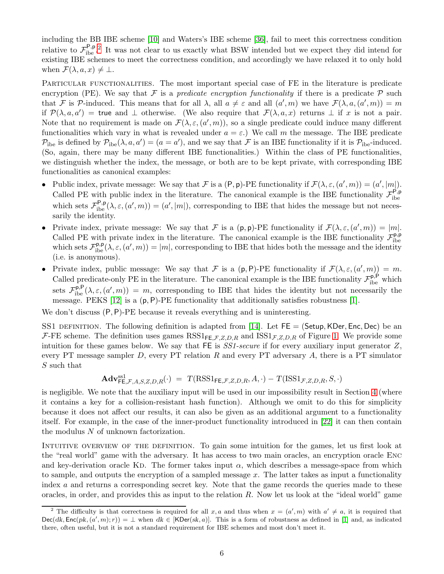<span id="page-6-1"></span>including the BB IBE scheme [\[10\]](#page-21-17) and Waters's IBE scheme [\[36\]](#page-22-3), fail to meet this correctness condition relative to  $\mathcal{F}_{\text{ibe}}^{\text{P,p},2}$  $\mathcal{F}_{\text{ibe}}^{\text{P,p},2}$  $\mathcal{F}_{\text{ibe}}^{\text{P,p},2}$  It was not clear to us exactly what BSW intended but we expect they did intend for existing IBE schemes to meet the correctness condition, and accordingly we have relaxed it to only hold when  $\mathcal{F}(\lambda, a, x) \neq \bot$ .

PARTICULAR FUNCTIONALITIES. The most important special case of FE in the literature is predicate encryption (PE). We say that F is a predicate encryption functionality if there is a predicate  $\mathcal P$  such that F is P-induced. This means that for all  $\lambda$ , all  $a \neq \varepsilon$  and all  $(a', m)$  we have  $\mathcal{F}(\lambda, a, (a', m)) = m$ if  $\mathcal{P}(\lambda, a, a') =$  true and  $\bot$  otherwise. (We also require that  $\mathcal{F}(\lambda, a, x)$  returns  $\bot$  if x is not a pair. Note that no requirement is made on  $\mathcal{F}(\lambda,\varepsilon,(a',m))$ , so a single predicate could induce many different functionalities which vary in what is revealed under  $a = \varepsilon$ .) We call m the message. The IBE predicate  $\mathcal{P}_{\text{ibe}}$  is defined by  $\mathcal{P}_{\text{ibe}}(\lambda, a, a') = (a = a')$ , and we say that  $\mathcal F$  is an IBE functionality if it is  $\mathcal{P}_{\text{ibe}}$ -induced. (So, again, there may be many different IBE functionalities.) Within the class of PE functionalities, we distinguish whether the index, the message, or both are to be kept private, with corresponding IBE functionalities as canonical examples:

- Public index, private message: We say that F is a  $(P, p)$ -PE functionality if  $\mathcal{F}(\lambda, \varepsilon, (a', m)) = (a', |m|)$ . Called PE with public index in the literature. The canonical example is the IBE functionality  $\mathcal{F}_{\text{the}}^{\text{P,p}}$ ibe which sets  $\mathcal{F}_{\text{ibe}}^{\text{P,p}}(\lambda, \varepsilon, (a', m)) = (a', |m|)$ , corresponding to IBE that hides the message but not necessarily the identity.
- Private index, private message: We say that F is a  $(p, p)$ -PE functionality if  $\mathcal{F}(\lambda, \varepsilon, (a', m)) = |m|$ . Called PE with private index in the literature. The canonical example is the IBE functionality  $\mathcal{F}_{\text{the}}^{\text{p},\text{p}}$ ibe which sets  $\mathcal{F}_{\text{ibe}}^{\text{p},\text{p}}(\lambda,\varepsilon,(a',m)) = |m|$ , corresponding to IBE that hides both the message and the identity (i.e. is anonymous).
- Private index, public message: We say that F is a  $(p, P)$ -PE functionality if  $\mathcal{F}(\lambda, \varepsilon, (a', m)) = m$ . Called predicate-only PE in the literature. The canonical example is the IBE functionality  $\mathcal{F}_{\text{ibe}}^{\text{p,P}}$  which sets  $\mathcal{F}_{\text{the}}^{\text{p},\text{P}}(\lambda,\varepsilon,(a',m)) = m$ , corresponding to IBE that hides the identity but not necessarily the message. PEKS [\[12\]](#page-21-18) is a  $(p, P)$ -PE functionality that additionally satisfies robustness [\[1\]](#page-20-5).

We don't discuss  $(P, P)$ -PE because it reveals everything and is uninteresting.

SS1 DEFINITION. The following definition is adapted from [\[14\]](#page-21-0). Let  $FE = (Setup, KDer, Enc, Dec)$  be an F-FE scheme. The definition uses games  $RSS1_{FE, F, Z, D, R}$  and  $ISS1_{F, Z, D, R}$  of Figure [1.](#page-7-0) We provide some intuition for these games below. We say that FE is  $SS1$ -secure if for every auxiliary input generator  $Z$ , every PT message sampler D, every PT relation R and every PT adversary A, there is a PT simulator S such that

$$
\mathbf{Adv}^{\mathrm{ss1}}_{\mathsf{FE},\mathcal{F},A,S,Z,D,R}(\cdot) = T(\mathrm{RSS1}_{\mathsf{FE},\mathcal{F},Z,D,R},A,\cdot) - T(\mathrm{ISS1}_{\mathcal{F},Z,D,R},S,\cdot)
$$

is negligible. We note that the auxiliary input will be used in our impossibility result in Section [4](#page-8-0) (where it contains a key for a collision-resistant hash function). Although we omit to do this for simplicity because it does not affect our results, it can also be given as an additional argument to a functionality itself. For example, in the case of the inner-product functionality introduced in [\[22\]](#page-21-3) it can then contain the modulus N of unknown factorization.

INTUITIVE OVERVIEW OF THE DEFINITION. To gain some intuition for the games, let us first look at the "real world" game with the adversary. It has access to two main oracles, an encryption oracle Enc and key-derivation oracle KD. The former takes input  $\alpha$ , which describes a message-space from which to sample, and outputs the encryption of a sampled message  $x$ . The latter takes as input a functionality index a and returns a corresponding secret key. Note that the game records the queries made to these oracles, in order, and provides this as input to the relation  $R$ . Now let us look at the "ideal world" game

<span id="page-6-0"></span><sup>&</sup>lt;sup>2</sup> The difficulty is that correctness is required for all x, a and thus when  $x = (a', m)$  with  $a' \neq a$ , it is required that  $Dec(dk, Enc(pk, (a', m); r)) = \bot$  when  $dk \in [KDer(sk, a)]$ . This is a form of robustness as defined in [\[1\]](#page-20-5) and, as indicated there, often useful, but it is not a standard requirement for IBE schemes and most don't meet it.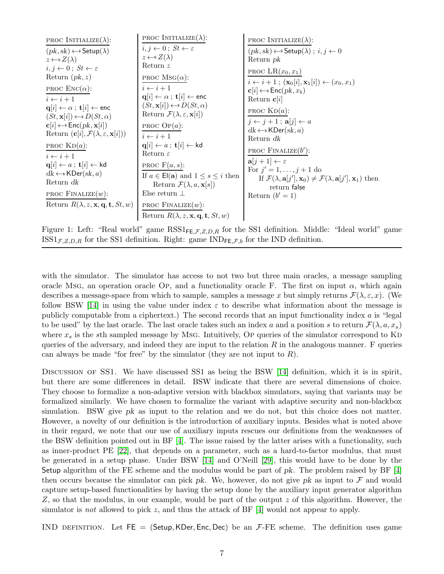<span id="page-7-1"></span>

| PROC INITIALIZE( $\lambda$ ):                                     | PROC INITIALIZE( $\lambda$ ):                                     | PROC INITIALIZE( $\lambda$ ):                                                                                        |
|-------------------------------------------------------------------|-------------------------------------------------------------------|----------------------------------------------------------------------------------------------------------------------|
| $(pk, sk) \leftarrow$ Setup $(\lambda)$                           | $i, j \leftarrow 0$ ; $St \leftarrow \varepsilon$                 | $(pk, sk) \leftarrow * \mathsf{Setup}(\lambda)$ ; $i, j \leftarrow 0$                                                |
| $z \leftarrow s Z(\lambda)$                                       | $z \leftarrow$ $Z(\lambda)$                                       | Return <i>pk</i>                                                                                                     |
| $i, j \leftarrow 0$ ; $St \leftarrow \varepsilon$                 | Return $z$                                                        | PROC $LR(x_0, x_1)$                                                                                                  |
| Return $(pk, z)$                                                  | PROC $Msg(\alpha)$ :                                              | $i \leftarrow i + 1$ ; $(\mathbf{x}_0[i], \mathbf{x}_1[i]) \leftarrow (x_0, x_1)$                                    |
| PROC $Enc(\alpha)$ :                                              | $i \leftarrow i + 1$                                              | $\mathbf{c}[i] \leftarrow \in \mathsf{Enc}(pk, x_b)$                                                                 |
| $i \leftarrow i + 1$                                              | $q[i] \leftarrow \alpha$ ; $t[i] \leftarrow$ enc                  | Return $c[i]$                                                                                                        |
| $q[i] \leftarrow \alpha$ ; $t[i] \leftarrow$ enc                  | $(St, \mathbf{x}[i]) \leftarrow B St, \alpha)$                    | PROC $KD(a)$ :                                                                                                       |
| $(St, \mathbf{x}[i]) \leftarrow B St, \alpha)$                    | Return $\mathcal{F}(\lambda, \varepsilon, \mathbf{x}[i])$         | $j \leftarrow j + 1$ ; $a[j] \leftarrow a$                                                                           |
| $\mathbf{c}[i] \leftarrow \text{snc}(pk, \mathbf{x}[i])$          | PROC $\text{OP}(a)$ :                                             | $dk \leftarrow$ KDer(sk, a)                                                                                          |
| Return $(c[i], \mathcal{F}(\lambda, \varepsilon, \mathbf{x}[i]))$ | $i \leftarrow i + 1$                                              | Return dk                                                                                                            |
| PROC $KD(a)$ :                                                    | $q[i] \leftarrow a$ ; $t[i] \leftarrow kd$                        |                                                                                                                      |
| $i \leftarrow i + 1$                                              | Return $\varepsilon$                                              | PROC FINALIZE $(b')$ :                                                                                               |
| $q[i] \leftarrow a$ ; $t[i] \leftarrow kd$                        | PROC $F(a, s)$ :                                                  | $a[j+1] \leftarrow \varepsilon$                                                                                      |
| $dk \leftarrow s \text{KDer}(sk, a)$                              | If $a \in E(\mathbf{a})$ and $1 \leq s \leq i$ then               | For $j' = 1, , j + 1$ do                                                                                             |
| Return dk                                                         | Return $\mathcal{F}(\lambda, a, \mathbf{x}[s])$                   | If $\mathcal{F}(\lambda, \mathbf{a}[j'], \mathbf{x}_0) \neq \mathcal{F}(\lambda, \mathbf{a}[j'], \mathbf{x}_1)$ then |
| PROC FINALIZE $(w)$ :                                             | Else return $\perp$                                               | return false<br>Return $(b' = 1)$                                                                                    |
| Return $R(\lambda, z, \mathbf{x}, \mathbf{q}, \mathbf{t}, St, w)$ |                                                                   |                                                                                                                      |
|                                                                   | PROC FINALIZE $(w)$ :                                             |                                                                                                                      |
|                                                                   | Return $R(\lambda, z, \mathbf{x}, \mathbf{q}, \mathbf{t}, St, w)$ |                                                                                                                      |

<span id="page-7-0"></span>

| Figure 1: Left: "Real world" game $RSS1_{FE, \mathcal{F}, Z, D, R}$ for the SS1 definition. Middle: "Ideal world" game              |  |  |  |
|-------------------------------------------------------------------------------------------------------------------------------------|--|--|--|
| $ISS1_{\mathcal{F},Z,D,R}$ for the SS1 definition. Right: game IND <sub>FE,<math>\mathcal{F},b</math></sub> for the IND definition. |  |  |  |

with the simulator. The simulator has access to not two but three main oracles, a message sampling oracle Msg, an operation oracle Op, and a functionality oracle F. The first on input  $\alpha$ , which again describes a message-space from which to sample, samples a message x but simply returns  $\mathcal{F}(\lambda, \varepsilon, x)$ . (We follow BSW [\[14\]](#page-21-0) in using the value under index  $\varepsilon$  to describe what information about the message is publicly computable from a ciphertext.) The second records that an input functionality index a is "legal to be used" by the last oracle. The last oracle takes such an index a and a position s to return  $\mathcal{F}(\lambda, a, x_s)$ where  $x_s$  is the sth sampled message by MsG. Intuitively, OP queries of the simulator correspond to KD queries of the adversary, and indeed they are input to the relation  $R$  in the analogous manner. F queries can always be made "for free" by the simulator (they are not input to  $R$ ).

DISCUSSION OF SS1. We have discussed SS1 as being the BSW [\[14\]](#page-21-0) definition, which it is in spirit, but there are some differences in detail. BSW indicate that there are several dimensions of choice. They choose to formalize a non-adaptive version with blackbox simulators, saying that variants may be formalized similarly. We have chosen to formalize the variant with adaptive security and non-blackbox simulation. BSW give pk as input to the relation and we do not, but this choice does not matter. However, a novelty of our definition is the introduction of auxiliary inputs. Besides what is noted above in their regard, we note that our use of auxiliary inputs rescues our definitions from the weaknesses of the BSW definition pointed out in BF [\[4\]](#page-20-4). The issue raised by the latter arises with a functionality, such as inner-product PE [\[22\]](#page-21-3), that depends on a parameter, such as a hard-to-factor modulus, that must be generated in a setup phase. Under BSW [\[14\]](#page-21-0) and O'Neill [\[29\]](#page-22-2), this would have to be done by the Setup algorithm of the FE scheme and the modulus would be part of pk. The problem raised by BF [\[4\]](#page-20-4) then occurs because the simulator can pick pk. We, however, do not give pk as input to  $\mathcal F$  and would capture setup-based functionalities by having the setup done by the auxiliary input generator algorithm Z, so that the modulus, in our example, would be part of the output z of this algorithm. However, the simulator is *not* allowed to pick  $z$ , and thus the attack of BF  $[4]$  would not appear to apply.

IND DEFINITION. Let  $FE = (Setup, KDer, Enc, Dec)$  be an  $F-FE$  scheme. The definition uses game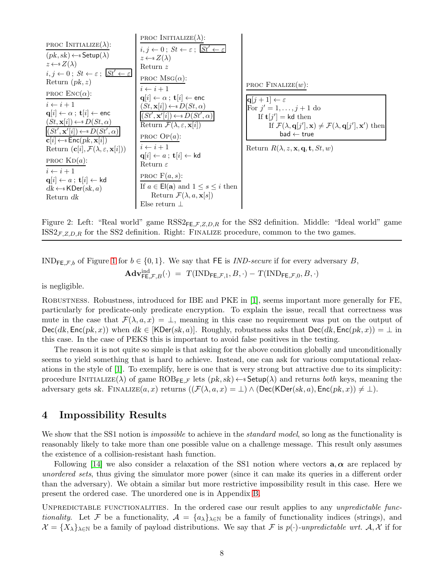<span id="page-8-2"></span>

<span id="page-8-1"></span>Figure 2: Left: "Real world" game  $RSS2_{FE, F, Z, D, R}$  for the SS2 definition. Middle: "Ideal world" game  $ISS2_{\mathcal{F},Z,D,R}$  for the SS2 definition. Right: FINALIZE procedure, common to the two games.

IND<sub>FE,F,b</sub> of Figure [1](#page-7-0) for  $b \in \{0, 1\}$ . We say that FE is *IND-secure* if for every adversary B,

$$
\mathbf{Adv}_{\mathsf{FE},\mathcal{F},B}^{\text{ind}}(\cdot) = T(\text{IND}_{\mathsf{FE},\mathcal{F},1},B,\cdot) - T(\text{IND}_{\mathsf{FE},\mathcal{F},0},B,\cdot)
$$

is negligible.

Robustness. Robustness, introduced for IBE and PKE in [\[1\]](#page-20-5), seems important more generally for FE, particularly for predicate-only predicate encryption. To explain the issue, recall that correctness was mute in the case that  $\mathcal{F}(\lambda, a, x) = \bot$ , meaning in this case no requirement was put on the output of  $\textsf{Dec}(dk, \textsf{Enc}(pk, x))$  when  $dk \in [\textsf{KDer}(sk, a)]$ . Roughly, robustness asks that  $\textsf{Dec}(dk, \textsf{Enc}(pk, x)) = \bot$  in this case. In the case of PEKS this is important to avoid false positives in the testing.

The reason it is not quite so simple is that asking for the above condition globally and unconditionally seems to yield something that is hard to achieve. Instead, one can ask for various computational relaxations in the style of [\[1\]](#page-20-5). To exemplify, here is one that is very strong but attractive due to its simplicity: procedure INITIALIZE( $\lambda$ ) of game ROB<sub>FE,F</sub> lets ( $pk, sk$ )  $\leftrightarrow$  Setup( $\lambda$ ) and returns both keys, meaning the adversary gets sk. FINALIZE $(a, x)$  returns  $((\mathcal{F}(\lambda, a, x) = \bot) \wedge (\text{Dec}(\text{KDer}(sk, a), \text{Enc}(pk, x)) \neq \bot).$ 

## <span id="page-8-0"></span>4 Impossibility Results

We show that the SS1 notion is *impossible* to achieve in the *standard model*, so long as the functionality is reasonably likely to take more than one possible value on a challenge message. This result only assumes the existence of a collision-resistant hash function.

Following [\[14\]](#page-21-0) we also consider a relaxation of the SS1 notion where vectors  $\mathbf{a}, \alpha$  are replaced by unordered sets, thus giving the simulator more power (since it can make its queries in a different order than the adversary). We obtain a similar but more restrictive impossibility result in this case. Here we present the ordered case. The unordered one is in Appendix [B.](#page-22-11)

UNPREDICTABLE FUNCTIONALITIES. In the ordered case our result applies to any *unpredictable func*tionality. Let F be a functionality,  $A = \{a_{\lambda}\}_{\lambda \in \mathbb{N}}$  be a family of functionality indices (strings), and  $\mathcal{X} = \{X_{\lambda}\}_{{\lambda \in \mathbb{N}}}$  be a family of payload distributions. We say that F is  $p(\cdot)$ -unpredictable wrt. A, X if for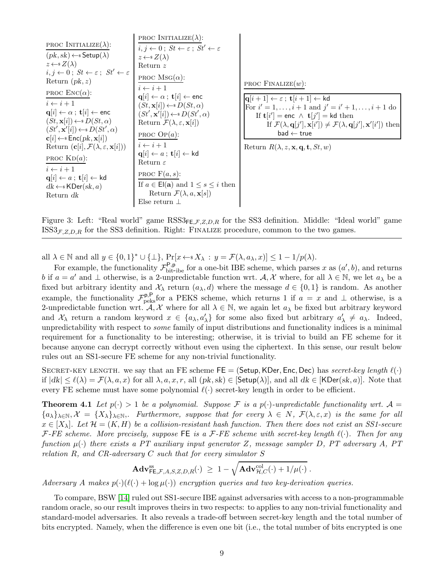<span id="page-9-2"></span>

| PROC INITIALIZE( $\lambda$ ):<br>$(pk, sk) \leftarrow$ Setup $(\lambda)$<br>$z \leftarrow s Z(\lambda)$                                                                                                                                               | PROC INITIALIZE( $\lambda$ ):<br>$i, j \leftarrow 0$ ; $St \leftarrow \varepsilon$ ; $St' \leftarrow \varepsilon$<br>$z \leftarrow \s Z(\lambda)$<br>Return $z$                                     |                                                                                                                                                                                                                                                                                                                                     |
|-------------------------------------------------------------------------------------------------------------------------------------------------------------------------------------------------------------------------------------------------------|-----------------------------------------------------------------------------------------------------------------------------------------------------------------------------------------------------|-------------------------------------------------------------------------------------------------------------------------------------------------------------------------------------------------------------------------------------------------------------------------------------------------------------------------------------|
| $i, j \leftarrow 0$ ; $St \leftarrow \varepsilon$ ; $St' \leftarrow \varepsilon$<br>Return $(pk, z)$<br>PROC $Enc(\alpha)$ :                                                                                                                          | PROC $MSG(\alpha)$ :<br>$i \leftarrow i + 1$<br>$q[i] \leftarrow \alpha$ ; $t[i] \leftarrow$ enc                                                                                                    | PROC FINALIZE $(w)$ :                                                                                                                                                                                                                                                                                                               |
| $i \leftarrow i + 1$<br>$q[i] \leftarrow \alpha$ ; $t[i] \leftarrow$ enc<br>$(St, \mathbf{x}[i]) \leftarrow B St, \alpha)$<br>$(St', \mathbf{x}'[i]) \leftarrow \mathcal{B}(St', \alpha)$<br>$\mathbf{c}[i] \leftarrow \text{snc}(pk, \mathbf{x}[i])$ | $(St, \mathbf{x}[i]) \leftarrow B St, \alpha)$<br>$(St', \mathbf{x}'[i]) \leftarrow B \mathcal{L}(St', \alpha)$<br>Return $\mathcal{F}(\lambda,\varepsilon,\mathbf{x}[i])$<br>PROC $\text{OP}(a)$ : | $ {\bf q}[i+1] \leftarrow \varepsilon$ ; ${\bf t}[i+1] \leftarrow k{\bf d}$<br>For $i' = 1, , i + 1$ and $j' = i' + 1, , i + 1$ do<br>If $t[i'] = enc \wedge t[j'] = kd$ then<br>If $\mathcal{F}(\lambda, \mathbf{q}[j'], \mathbf{x}[i']) \neq \mathcal{F}(\lambda, \mathbf{q}[j'], \mathbf{x}'[i'])$ then<br>$bad \leftarrow true$ |
| Return $(c[i], \mathcal{F}(\lambda, \varepsilon, \mathbf{x}[i]))$<br>PROC $KD(a)$ :                                                                                                                                                                   | $i \leftarrow i + 1$<br>$q[i] \leftarrow a$ ; $t[i] \leftarrow kd$<br>Return $\varepsilon$                                                                                                          | Return $R(\lambda, z, \mathbf{x}, \mathbf{q}, \mathbf{t}, St, w)$                                                                                                                                                                                                                                                                   |
| $i \leftarrow i + 1$<br>$q[i] \leftarrow a$ ; $t[i] \leftarrow kd$<br>$dk \leftarrow s \text{KDer}(sk, a)$<br>Return dk                                                                                                                               | PROC $F(a, s)$ :<br>If $a \in E(\mathbf{a})$ and $1 \leq s \leq i$ then<br>Return $\mathcal{F}(\lambda, a, \mathbf{x}[s])$<br>Else return $\perp$                                                   |                                                                                                                                                                                                                                                                                                                                     |

<span id="page-9-1"></span>Figure 3: Left: "Real world" game  $RSS3_{FE, F, Z, D, R}$  for the SS3 definition. Middle: "Ideal world" game  $ISS3_{\mathcal{F},Z,D,R}$  for the SS3 definition. Right: FINALIZE procedure, common to the two games.

all  $\lambda \in \mathbb{N}$  and all  $y \in \{0,1\}^* \cup \{\perp\}, \Pr[x \leftarrow^* X_\lambda : y = \mathcal{F}(\lambda, a_\lambda, x)] \leq 1 - 1/p(\lambda).$ 

For example, the functionality  $\mathcal{F}_{\text{bit-ibe}}^{\text{P,p}}$  for a one-bit IBE scheme, which parses x as  $(a', b)$ , and returns b if  $a = a'$  and  $\perp$  otherwise, is a 2-unpredictable function wrt.  $\mathcal{A}, \mathcal{X}$  where, for all  $\lambda \in \mathbb{N}$ , we let  $a_{\lambda}$  be a fixed but arbitrary identity and  $\mathcal{X}_{\lambda}$  return  $(a_{\lambda}, d)$  where the message  $d \in \{0, 1\}$  is random. As another example, the functionality  $\mathcal{F}_{\text{peks}}^{p,P}$  for a PEKS scheme, which returns 1 if  $a = x$  and  $\perp$  otherwise, is a 2-unpredictable function wrt.  $\mathcal{A}, \mathcal{X}$  where for all  $\lambda \in \mathbb{N}$ , we again let  $a_{\lambda}$  be fixed but arbitrary keyword and  $\mathcal{X}_{\lambda}$  return a random keyword  $x \in \{a_{\lambda}, a'_{\lambda}\}\$ for some also fixed but arbitrary  $a'_{\lambda} \neq a_{\lambda}$ . Indeed, unpredictability with respect to some family of input distributions and functionality indices is a minimal requirement for a functionality to be interesting; otherwise, it is trivial to build an FE scheme for it because anyone can decrypt correctly without even using the ciphertext. In this sense, our result below rules out an SS1-secure FE scheme for any non-trivial functionality.

SECRET-KEY LENGTH. we say that an FE scheme FE = (Setup, KDer, Enc, Dec) has secret-key length  $\ell(\cdot)$ if  $|dk| \leq \ell(\lambda) = \mathcal{F}(\lambda, a, x)$  for all  $\lambda, a, x, r$ , all  $(pk, sk) \in [Setup(\lambda)]$ , and all  $dk \in [KDer(sk, a)]$ . Note that every FE scheme must have some polynomial  $\ell(\cdot)$  secret-key length in order to be efficient.

<span id="page-9-0"></span>**Theorem 4.1** Let  $p(\cdot) > 1$  be a polynomial. Suppose F is a  $p(\cdot)$ -unpredictable functionality wrt.  $\mathcal{A} =$  ${a_\lambda}_{\lambda\in\mathbb{N}}, \mathcal{X} = {X_\lambda}_{\lambda\in\mathbb{N}},$  Furthermore, suppose that for every  $\lambda \in \mathbb{N}, \mathcal{F}(\lambda,\varepsilon,x)$  is the same for all  $x \in [X_\lambda]$ . Let  $\mathcal{H} = (K, H)$  be a collision-resistant hash function. Then there does not exist an SS1-secure F-FE scheme. More precisely, suppose FE is a F-FE scheme with secret-key length  $\ell(\cdot)$ . Then for any function  $\mu(\cdot)$  there exists a PT auxiliary input generator Z, message sampler D, PT adversary A, PT relation R, and CR-adversary C such that for every simulator S

$$
\mathbf{Adv}_{\mathsf{FE},\mathcal{F},A,S,Z,D,R}^{\mathrm{ss}}(\cdot) \ \geq \ 1 - \sqrt{\mathbf{Adv}_{\mathcal{H},C}^{\mathrm{col}}(\cdot) + 1/\mu(\cdot)} \ .
$$

Adversary A makes  $p(\cdot)(\ell(\cdot) + \log \mu(\cdot))$  encryption queries and two key-derivation queries.

To compare, BSW [\[14\]](#page-21-0) ruled out SS1-secure IBE against adversaries with access to a non-programmable random oracle, so our result improves theirs in two respects: to applies to any non-trivial functionality and standard-model adversaries. It also reveals a trade-off between secret-key length and the total number of bits encrypted. Namely, when the difference is even one bit (i.e., the total number of bits encrypted is one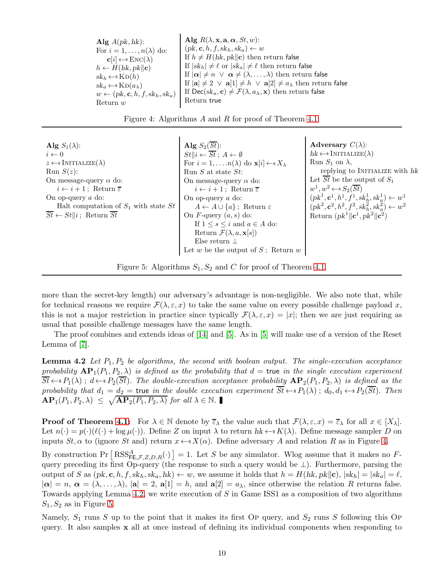<span id="page-10-3"></span>

| Alg $A(pk, hk)$ :                                               | Alg $R(\lambda, \mathbf{x}, \mathbf{a}, \alpha, St, w)$ :                                                |
|-----------------------------------------------------------------|----------------------------------------------------------------------------------------------------------|
| For $i = 1, \ldots, n(\lambda)$ do:                             | $(pk, \mathbf{c}, h, f, sk_h, sk_a) \leftarrow w$                                                        |
| $\mathbf{c}[i] \leftarrow \text{s} \operatorname{ENC}(\lambda)$ | If $h \neq H(hk, pk  c)$ then return false                                                               |
| $h \leftarrow H(hk, pk  c)$                                     | If $ sk_h  \neq \ell$ or $ sk_a  \neq \ell$ then return false                                            |
| $sk_h \leftarrow$ KD(h)                                         | If $ \alpha  \neq n \vee \alpha \neq (\lambda, , \lambda)$ then return false                             |
| $sk_a \leftarrow$ KD $(a_\lambda)$                              | If $ \mathbf{a}  \neq 2 \vee \mathbf{a}[1] \neq h \vee \mathbf{a}[2] \neq a_{\lambda}$ then return false |
| $w \leftarrow (pk, \mathbf{c}, h, f, sk_h, sk_a)$               | If $\mathsf{Dec}(sk_a, \mathbf{c}) \neq \mathcal{F}(\lambda, a_\lambda, \mathbf{x})$ then return false   |
| Return $w$                                                      | Return true                                                                                              |

<span id="page-10-0"></span>Figure 4: Algorithms  $A$  and  $R$  for proof of Theorem [4.1.](#page-9-0)

| Alg $S_1(\lambda)$ :                                        | Alg $S_2(\overline{St})$ :                                            | Adversary $C(\lambda)$ :                                        |
|-------------------------------------------------------------|-----------------------------------------------------------------------|-----------------------------------------------------------------|
| $i \leftarrow 0$                                            | $St  i \leftarrow \overline{St}$ ; $A \leftarrow \emptyset$           | $hk \leftarrow$ INITIALIZE( $\lambda$ )                         |
| $z \leftarrow$ INITIALIZE( $\lambda$ )                      | For $i = 1, , n(\lambda)$ do $\mathbf{x}[i] \leftarrow^* X_{\lambda}$ | Run $S_1$ on $\lambda$ ,                                        |
| Run $S(z)$ :                                                | Run $S$ at state $St$ :                                               | replying to INITIALIZE with hk                                  |
| On message-query $\alpha$ do:                               | On message-query $\alpha$ do:                                         | Let $\overline{St}$ be the output of $S_1$                      |
| $i \leftarrow i + 1$ ; Return $\overline{\varepsilon}$      | $i \leftarrow i + 1$ ; Return $\overline{\varepsilon}$                | $w^1, w^2 \leftarrow s S_2(\overline{St})$                      |
| On op-query $a$ do:                                         | On op-query $a$ do:                                                   | $(pk^1, \mathbf{c}^1, h^1, f^1, sk_h^1, sk_a^1) \leftarrow w^1$ |
| Halt computation of $S_1$ with state $St$                   | $A \leftarrow A \cup \{a\}$ ; Return $\varepsilon$                    | $(pk^2, \mathbf{c}^2, h^2, f^2, sk_h^2, sk_a^2) \leftarrow w^2$ |
| $\overline{St} \leftarrow St    i ;$ Return $\overline{St}$ | On F-query $(a, s)$ do:                                               | Return $(pk^1  \mathbf{c}^1, pk^2  \mathbf{c}^2)$               |
|                                                             | If $1 \leq s \leq i$ and $a \in A$ do:                                |                                                                 |
|                                                             | Return $\mathcal{F}(\lambda, a, \mathbf{x}[s])$                       |                                                                 |
|                                                             | Else return $\perp$                                                   |                                                                 |
|                                                             | Let w be the output of $S$ ; Return w                                 |                                                                 |
|                                                             |                                                                       |                                                                 |

<span id="page-10-2"></span>Figure 5: Algorithms  $S_1, S_2$  and C for proof of Theorem [4.1.](#page-9-0)

more than the secret-key length) our adversary's advantage is non-negligible. We also note that, while for technical reasons we require  $\mathcal{F}(\lambda, \varepsilon, x)$  to take the same value on every possible challenge payload x, this is not a major restriction in practice since typically  $\mathcal{F}(\lambda,\varepsilon,x) = |x|$ ; then we are just requiring as usual that possible challenge messages have the same length.

<span id="page-10-1"></span>The proof combines and extends ideas of [\[14\]](#page-21-0) and [\[5\]](#page-20-0). As in [\[5\]](#page-20-0) will make use of a version of the Reset Lemma of [\[7\]](#page-20-6).

**Lemma 4.2** Let  $P_1, P_2$  be algorithms, the second with boolean output. The single-execution acceptance probability  $\mathbf{AP}_1(P_1, P_2, \lambda)$  is defined as the probability that  $d = \mathsf{true}$  in the single execution experiment  $\overline{St} \leftarrow s P_1(\lambda); d \leftarrow s P_2(\overline{St})$ . The double-execution acceptance probability  $\mathbf{AP}_2(P_1, P_2, \lambda)$  is defined as the probability that  $d_1 = d_2$  = true in the double execution experiment  $\overline{St} \leftarrow s P_1(\lambda)$ ;  $d_0, d_1 \leftarrow s P_2(\overline{St})$ . Then  $\mathbf{AP}_1(P_1, P_2, \lambda) \leq \sqrt{\mathbf{AP}_2(P_1, P_2, \lambda)}$  for all  $\lambda \in \mathbb{N}$ .

**Proof of Theorem [4.1:](#page-9-0)** For  $\lambda \in \mathbb{N}$  denote by  $\overline{\varepsilon}_{\lambda}$  the value such that  $\mathcal{F}(\lambda, \varepsilon, x) = \overline{\varepsilon}_{\lambda}$  for all  $x \in [X_{\lambda}]$ . Let  $n(\cdot) = p(\cdot)(\ell(\cdot) + \log \mu(\cdot))$ . Define Z on input  $\lambda$  to return  $hk \leftarrow K(\lambda)$ . Define message sampler D on inputs  $St, \alpha$  to (ignore  $St$  and) return  $x \leftarrow s X(\alpha)$ . Define adversary A and relation R as in Figure [4.](#page-10-0)

By construction  $Pr\left[RSS_{FE,\mathcal{F},Z,D,R}^{A}(\cdot)\right] = 1$ . Let S be any simulator. Wlog assume that it makes no Fquery preceding its first Op-query (the response to such a query would be ⊥). Furthermore, parsing the output of S as  $(pk, \mathbf{c}, h, f, sk_h, sk_a, hk) \leftarrow w$ , we assume it holds that  $h = H(hk, pk||\mathbf{c})$ ,  $|sk_h| = |sk_a| = \ell$ ,  $|\alpha| = n, \alpha = (\lambda, ..., \lambda), |\mathbf{a}| = 2, \mathbf{a}[1] = h$ , and  $\mathbf{a}[2] = a_{\lambda}$ , since otherwise the relation R returns false. Towards applying Lemma [4.2,](#page-10-1) we write execution of  $S$  in Game ISS1 as a composition of two algorithms  $S_1, S_2$  as in Figure [5.](#page-10-2)

Namely,  $S_1$  runs S up to the point that it makes its first Op query, and  $S_2$  runs S following this Op query. It also samples  $x$  all at once instead of defining its individual components when responding to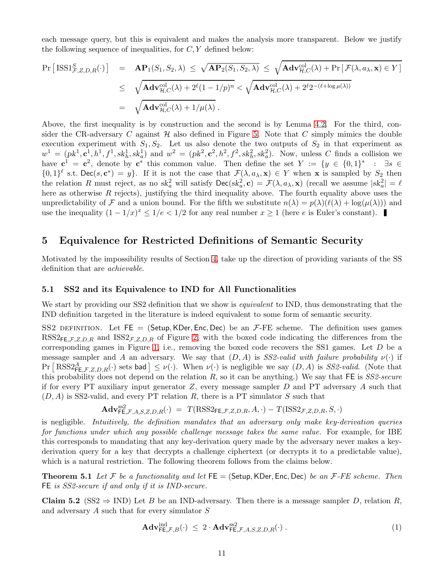each message query, but this is equivalent and makes the analysis more transparent. Below we justify the following sequence of inequalities, for  $C, Y$  defined below:

$$
\begin{array}{rcl} \Pr\left[\text{ISS1}_{\mathcal{F},Z,D,R}^S(\cdot)\right] & = & \mathbf{A}\mathbf{P}_1(S_1,S_2,\lambda) \leq \sqrt{\mathbf{A}\mathbf{P}_2(S_1,S_2,\lambda)} \leq \sqrt{\mathbf{A}\mathbf{d}\mathbf{v}_{\mathcal{H},C}^{\mathrm{col}}(\lambda) + \Pr\left[\mathcal{F}(\lambda,a_\lambda,\mathbf{x}) \in Y\right]} \\ \\ & \leq & \sqrt{\mathbf{A}\mathbf{d}\mathbf{v}_{\mathcal{H},C}^{\mathrm{col}}(\lambda) + 2^{\ell}(1-1/p)^n} < \sqrt{\mathbf{A}\mathbf{d}\mathbf{v}_{\mathcal{H},C}^{\mathrm{col}}(\lambda) + 2^{\ell}2^{-(\ell+\log\mu(\lambda))}} \\ \\ & = & \sqrt{\mathbf{A}\mathbf{d}\mathbf{v}_{\mathcal{H},C}^{\mathrm{col}}(\lambda) + 1/\mu(\lambda)} \,. \end{array}
$$

Above, the first inequality is by construction and the second is by Lemma [4.2.](#page-10-1) For the third, consider the CR-adversary C against  $H$  also defined in Figure [5.](#page-10-2) Note that C simply mimics the double execution experiment with  $S_1, S_2$ . Let us also denote the two outputs of  $S_2$  in that experiment as  $w^1 = (pk^1, \mathbf{c}^1, h^1, f^1, sk_h^1, sk_a^1)$  and  $w^2 = (pk^2, \mathbf{c}^2, h^2, f^2, sk_h^2, sk_a^2)$ . Now, unless C finds a collision we have  $c^1 = c^2$ , denote by  $c^*$  this common value. Then define the set  $Y := \{y \in \{0,1\}^* : \exists s \in \{0,1\}^* \}$  $\{0,1\}^{\ell}$  s.t. Dec(s, c<sup>\*</sup>) = y}. If it is not the case that  $\mathcal{F}(\lambda,a_{\lambda},\mathbf{x}) \in Y$  when **x** is sampled by  $S_2$  then the relation R must reject, as no  $sk_a^2$  will satisfy  $\text{Dec}(sk_a^2, \mathbf{c}) = \mathcal{F}(\lambda, a_\lambda, \mathbf{x})$  (recall we assume  $|sk_a^2| = \ell$ here as otherwise  $R$  rejects), justifying the third inequality above. The fourth equality above uses the unpredictability of F and a union bound. For the fifth we substitute  $n(\lambda) = p(\lambda)(\ell(\lambda) + \log(\mu(\lambda)))$  and use the inequality  $(1 - 1/x)^x \le 1/e < 1/2$  for any real number  $x \ge 1$  (here e is Euler's constant).

## <span id="page-11-2"></span>5 Equivalence for Restricted Definitions of Semantic Security

Motivated by the impossibility results of Section [4,](#page-8-0) take up the direction of providing variants of the SS definition that are achievable.

#### 5.1 SS2 and its Equivalence to IND for All Functionalities

We start by providing our SS2 definition that we show is *equivalent* to IND, thus demonstrating that the IND definition targeted in the literature is indeed equivalent to some form of semantic security.

SS2 DEFINITION. Let  $FE = (Setup, KDer, Enc, Dec)$  be an F-FE scheme. The definition uses games RSS2FE,  $F$ ,  $Z$ ,  $D$ , R and ISS2 $F$ ,  $Z$ ,  $D$ , R of Figure [2,](#page-8-1) with the boxed code indicating the differences from the corresponding games in Figure [1,](#page-7-0) i.e., removing the boxed code recovers the SS1 games. Let  $D$  be a message sampler and A an adversary. We say that  $(D, A)$  is SS2-valid with failure probability  $\nu(\cdot)$  if  $Pr\left[\text{RSS2}_{\mathsf{FE},\mathcal{F},Z,D,R}^A(\cdot) \text{ sets } \mathsf{bad}\right] \leq \nu(\cdot)$ . When  $\nu(\cdot)$  is negligible we say  $(D,A)$  is SS2-valid. (Note that this probability does not depend on the relation  $R$ , so it can be anything.) We say that FE is  $SS2\text{-}secure$ if for every PT auxiliary input generator  $Z$ , every message sampler  $D$  and PT adversary  $A$  such that  $(D, A)$  is SS2-valid, and every PT relation R, there is a PT simulator S such that

$$
\mathbf{Adv}_{\mathsf{FE},\mathcal{F},A,S,Z,D,R}^{\text{ss2}}(\cdot) = T(\text{RSS2}_{\mathsf{FE},\mathcal{F},Z,D,R},A,\cdot) - T(\text{ISS2}_{\mathcal{F},Z,D,R},S,\cdot)
$$

is negligible. Intuitively, the definition mandates that an adversary only make key-derivation queries for functions under which any possible challenge message takes the same value. For example, for IBE this corresponds to mandating that any key-derivation query made by the adversary never makes a keyderivation query for a key that decrypts a challenge ciphertext (or decrypts it to a predictable value), which is a natural restriction. The following theorem follows from the claims below.

**Theorem 5.1** Let F be a functionality and let  $FE = (Setup, KDer, Enc, Dec)$  be an F-FE scheme. Then FE is SS2-secure if and only if it is IND-secure.

<span id="page-11-0"></span>Claim 5.2 (SS2  $\Rightarrow$  IND) Let B be an IND-adversary. Then there is a message sampler D, relation R, and adversary A such that for every simulator S

<span id="page-11-1"></span>
$$
\mathbf{Adv}_{\mathsf{FE},\mathcal{F},B}^{\text{ind}}(\cdot) \leq 2 \cdot \mathbf{Adv}_{\mathsf{FE},\mathcal{F},A,S,Z,D,R}^{\text{ss2}}(\cdot) \,. \tag{1}
$$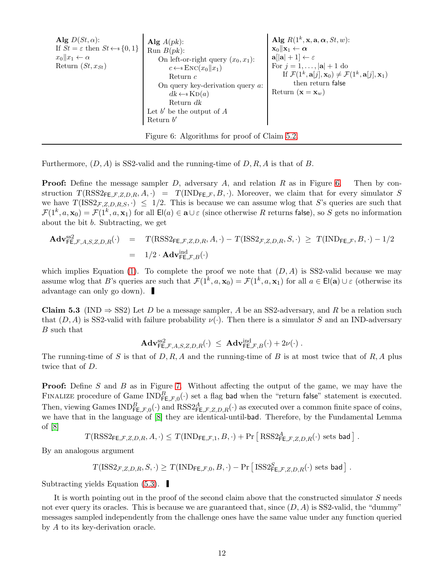<span id="page-12-2"></span>

| Alg $D(St, \alpha)$ :                                                    | Alg $A(pk)$ :                                                                                                                                                                                                                                                                                                                                                                                                                                                                                                                                                                                                                                                                              | Alg $A(pk)$ :             |                           |                           |
|--------------------------------------------------------------------------|--------------------------------------------------------------------------------------------------------------------------------------------------------------------------------------------------------------------------------------------------------------------------------------------------------------------------------------------------------------------------------------------------------------------------------------------------------------------------------------------------------------------------------------------------------------------------------------------------------------------------------------------------------------------------------------------|---------------------------|---------------------------|---------------------------|
| If $St = \varepsilon$ then $St \leftrightarrow s\{0, 1\}$                | \n $\text{Run } B(pk)$ :\n $x_0    x_1 \leftrightarrow \alpha$ \n        On left-or-right query $(x_0, x_1)$ :\n $x_0    x_1 \leftrightarrow \alpha$ \n        On left-or-right query $(x_0, x_1)$ :\n $x_0    x_1 \leftrightarrow \alpha$ \n        On left-or-right query $(x_0, x_1)$ :\n $x_0    x_1 \leftrightarrow \alpha$ \n        In the form $c$ :\n $c \leftrightarrow s \text{Enc}(x_0    x_1)$ \n        for $j = 1, ...,  \mathbf{a}  + 1$ do\n            If $\mathcal{F}(1^k, \mathbf{a}[j], \mathbf{x}_0) \neq \mathcal{F}(1^k, \mathbf{a}[j], \mathbf{x}_1)$ \n        then return false\n $d\mathbf{k} \leftrightarrow s\text{KD}(a)$ \n        Return $d\mathbf{k}$ \n | \n $\text{Return } dk$ \n | \n $\text{Return } dk$ \n | \n $\text{Return } dk$ \n |
| \n $\text{Let } b' \text{ be the output of } A$ \n        Return $b'$ \n | \n $\text{Figure 6: Algorithms for proof of Claim 5.2}.$ \n                                                                                                                                                                                                                                                                                                                                                                                                                                                                                                                                                                                                                                |                           |                           |                           |

<span id="page-12-0"></span>Furthermore,  $(D, A)$  is SS2-valid and the running-time of  $D, R, A$  is that of B.

**Proof:** Define the message sampler  $D$ , adversary  $A$ , and relation  $R$  as in Figure [6.](#page-12-0) Then by construction  $T(\text{RSS2}_{\mathsf{FE},\mathcal{F},Z,D,R},A,\cdot) = T(\text{IND}_{\mathsf{FE},\mathcal{F}},B,\cdot)$ . Moreover, we claim that for every simulator S we have  $T(ISS2_{\mathcal{F},Z,D,R,S}, \cdot) \leq 1/2$ . This is because we can assume wlog that S's queries are such that  $\mathcal{F}(1^k, a, \mathbf{x}_0) = \mathcal{F}(1^k, a, \mathbf{x}_1)$  for all  $\mathsf{El}(a) \in \mathbf{a} \cup \varepsilon$  (since otherwise R returns false), so S gets no information about the bit b. Subtracting, we get

$$
\mathbf{Adv}_{\mathsf{FE},\mathcal{F},A,S,Z,D,R}^{\mathrm{ss2}}(\cdot) = T(\mathrm{RSS2}_{\mathsf{FE},\mathcal{F},Z,D,R},A,\cdot) - T(\mathrm{ISS2}_{\mathcal{F},Z,D,R},S,\cdot) \geq T(\mathrm{IND}_{\mathsf{FE},\mathcal{F}},B,\cdot) - 1/2
$$
  
= 1/2 \cdot \mathbf{Adv}\_{\mathsf{FE},\mathcal{F},B}^{\mathrm{ind}}(\cdot)

which implies Equation [\(1\)](#page-11-1). To complete the proof we note that  $(D, A)$  is SS2-valid because we may assume wlog that B's queries are such that  $\mathcal{F}(1^k, a, \mathbf{x}_0) = \mathcal{F}(1^k, a, \mathbf{x}_1)$  for all  $a \in \mathsf{El}(\mathbf{a}) \cup \varepsilon$  (otherwise its advantage can only go down).

<span id="page-12-1"></span>**Claim 5.3** (IND  $\Rightarrow$  SS2) Let D be a message sampler, A be an SS2-adversary, and R be a relation such that  $(D, A)$  is SS2-valid with failure probability  $\nu(\cdot)$ . Then there is a simulator S and an IND-adversary B such that

$$
\mathbf{Adv}^{\mathrm{ss2}}_{\mathsf{FE},\mathcal{F},A,S,Z,D,R}(\cdot) \;\leq\; \mathbf{Adv}^{\mathrm{ind}}_{\mathsf{FE},\mathcal{F},B}(\cdot) + 2\nu(\cdot) \; .
$$

The running-time of S is that of D, R, A and the running-time of B is at most twice that of R, A plus twice that of D.

**Proof:** Define S and B as in Figure [7.](#page-13-0) Without affecting the output of the game, we may have the FINALIZE procedure of Game  $\text{IND}_{\mathsf{FE},\mathcal{F},0}^B(\cdot)$  set a flag bad when the "return false" statement is executed. Then, viewing Games  $\text{IND}_{\mathsf{FE},\mathcal{F},0}^B(\cdot)$  and  $\text{RSS2}_{\mathsf{FE},\mathcal{F},Z,D,R}^A(\cdot)$  as executed over a common finite space of coins, we have that in the language of [\[8\]](#page-21-16) they are identical-until-bad. Therefore, by the Fundamental Lemma of [\[8\]](#page-21-16)

 $T(\text{RSS2}_{\mathsf{FE},\mathcal{F},Z,D,R},A,\cdot) \leq T(\text{IND}_{\mathsf{FE},\mathcal{F},1},B,\cdot) + \Pr\left[\text{RSS2}_{\mathsf{FE},\mathcal{F},Z,D,R}^A(\cdot) \text{ sets bad}\right].$ 

By an analogous argument

$$
T(\text{ISS2}_{\mathcal{F},Z,D,R}, S, \cdot) \geq T(\text{IND}_{\mathsf{FE},\mathcal{F},0}, B, \cdot) - \Pr\left[\text{ISS2}_{\mathsf{FE},\mathcal{F},Z,D,R}^S(\cdot) \text{ sets bad}\right].
$$

Subtracting yields Equation  $(5.3)$ .

It is worth pointing out in the proof of the second claim above that the constructed simulator S needs not ever query its oracles. This is because we are guaranteed that, since  $(D, A)$  is SS2-valid, the "dummy" messages sampled independently from the challenge ones have the same value under any function queried by A to its key-derivation oracle.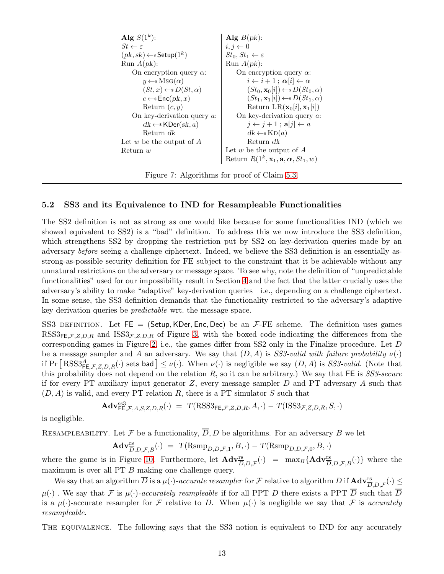```
Alg S(1^k):
St \leftarrow \varepsilon(pk, sk) \leftarrow s Setup(1^k)Run A(pk):
     On encryption query \alpha:
          y \leftarrow s \text{MSG}(\alpha)(St, x) \leftarrow B (St, \alpha)c \leftarrow s \mathsf{Enc}(pk, x)Return (c, y)On key-derivation query a:
          dk \leftarrow KDer(sk, a)
          Return dk
Let w be the output of AReturn w
                                                    Alg B(pk):
                                                    i, j \leftarrow 0St_0, St_1 \leftarrow \varepsilonRun A(pk):
                                                          On encryption query \alpha:
                                                               i \leftarrow i + 1; \alpha[i] \leftarrow \alpha(St_0, \mathbf{x}_0[i]) \leftarrow B St_0, \alpha)(St_1, \mathbf{x}_1[i]) \leftarrow B St_1, \alpha)Return LR(\mathbf{x}_0[i], \mathbf{x}_1[i])On key-derivation query a:
                                                               j \leftarrow j + 1; a[j] \leftarrow adk \leftarrow s \operatorname{KD}(a)Return dk
                                                    Let \boldsymbol{w} be the output of \boldsymbol{A}Return R(1^k, \mathbf{x}_1, \mathbf{a}, \alpha, St_1, w)
```
<span id="page-13-0"></span>Figure 7: Algorithms for proof of Claim [5.3.](#page-12-1)

#### 5.2 SS3 and its Equivalence to IND for Resampleable Functionalities

The SS2 definition is not as strong as one would like because for some functionalities IND (which we showed equivalent to SS2) is a "bad" definition. To address this we now introduce the SS3 definition, which strengthens SS2 by dropping the restriction put by SS2 on key-derivation queries made by an adversary before seeing a challenge ciphertext. Indeed, we believe the SS3 definition is an essentially asstrong-as-possible security definition for FE subject to the constraint that it be achievable without any unnatural restrictions on the adversary or message space. To see why, note the definition of "unpredictable functionalities" used for our impossibility result in Section [4](#page-8-0) and the fact that the latter crucially uses the adversary's ability to make "adaptive" key-derivation queries—i.e., depending on a challenge ciphertext. In some sense, the SS3 definition demands that the functionality restricted to the adversary's adaptive key derivation queries be predictable wrt. the message space.

SS3 DEFINITION. Let  $FE = (Setup, KDer, Enc, Dec)$  be an F-FE scheme. The definition uses games  $RSS3F_{E, F, Z, D, R}$  and  $ISS3F, Z, D, R$  of Figure [3,](#page-9-1) with the boxed code indicating the differences from the corresponding games in Figure [2,](#page-8-1) i.e., the games differ from SS2 only in the Finalize procedure. Let  $D$ be a message sampler and A an adversary. We say that  $(D, A)$  is SS3-valid with failure probability  $\nu(\cdot)$ if Pr  $\left[\text{RSS3}_{\mathsf{FE},\mathcal{F},Z,D,R}^A(\cdot)\right]$  sets bad  $\left] \leq \nu(\cdot)$ . When  $\nu(\cdot)$  is negligible we say  $(D,A)$  is SS3-valid. (Note that this probability does not depend on the relation  $R$ , so it can be arbitrary.) We say that FE is  $SS3\text{-}secure$ if for every PT auxiliary input generator  $Z$ , every message sampler  $D$  and PT adversary  $A$  such that  $(D, A)$  is valid, and every PT relation R, there is a PT simulator S such that

$$
\mathbf{Adv}_{\mathsf{FE},\mathcal{F},A,S,Z,D,R}^{\text{ss3}}(\cdot) = T(\text{RSS3}_{\mathsf{FE},\mathcal{F},Z,D,R},A,\cdot) - T(\text{ISS3}_{\mathcal{F},Z,D,R},S,\cdot)
$$

is negligible.

RESAMPLEABILITY. Let F be a functionality,  $\overline{D}$ , D be algorithms. For an adversary B we let

$$
\mathbf{Adv}_{\overline{D},D,\mathcal{F},B}^{\text{rs}}(\cdot) = T(\text{Rsmp}_{\overline{D},D,\mathcal{F},1},B,\cdot) - T(\text{Rsmp}_{\overline{D},D,\mathcal{F},0},B,\cdot)
$$

where the game is in Figure [10.](#page-18-0) Furthermore, let  $\mathbf{Adv}_{\overline{D},D,\mathcal{F}}^{\text{rs}}(\cdot) = \max_B{\mathbf{Adv}_{\overline{D},D,\mathcal{F},B}^{\text{rs}}(\cdot)}$  where the maximum is over all PT B making one challenge query.

We say that an algorithm  $\overline{D}$  is a  $\mu(\cdot)$ -accurate resampler for  $\mathcal F$  relative to algorithm  $D$  if  $\mathbf{Adv}_{\overline{D},D,\mathcal F}^{\text{rs}}(\cdot) \leq$  $\mu(\cdot)$ . We say that F is  $\mu(\cdot)$ -accurately reampleable if for all PPT D there exists a PPT  $\overline{D}$  such that  $\overline{D}$ is a  $\mu(\cdot)$ -accurate resampler for F relative to D. When  $\mu(\cdot)$  is negligible we say that F is accurately resampleable.

The equivalence. The following says that the SS3 notion is equivalent to IND for any accurately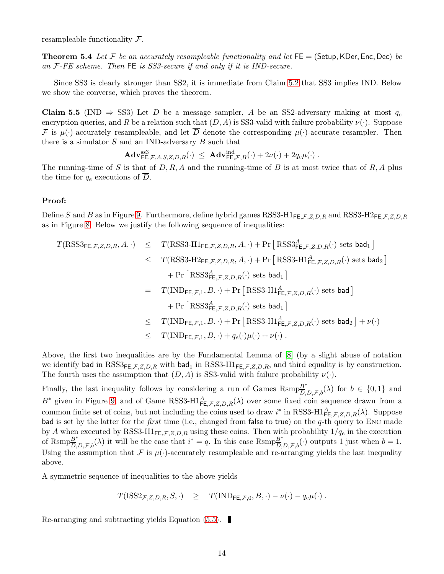<span id="page-14-1"></span>resampleable functionality F.

**Theorem 5.4** Let F be an accurately resampleable functionality and let  $FE = (Setup, KDer, Enc, Dec)$  be an  $F$ -FE scheme. Then FE is SS3-secure if and only if it is IND-secure.

<span id="page-14-0"></span>Since SS3 is clearly stronger than SS2, it is immediate from Claim [5.2](#page-11-0) that SS3 implies IND. Below we show the converse, which proves the theorem.

Claim 5.5 (IND  $\Rightarrow$  SS3) Let D be a message sampler, A be an SS2-adversary making at most  $q_e$ encryption queries, and R be a relation such that  $(D, A)$  is SS3-valid with failure probability  $\nu(\cdot)$ . Suppose F is  $\mu(\cdot)$ -accurately resampleable, and let  $\overline{D}$  denote the corresponding  $\mu(\cdot)$ -accurate resampler. Then there is a simulator  $S$  and an IND-adversary  $B$  such that

 $\mathbf{Adv}_{\mathsf{FE},\mathcal{F},A,S,Z,D,R}^{\mathrm{ss3}}(\cdot) \ \leq \ \mathbf{Adv}_{\mathsf{FE},\mathcal{F},B}^{\mathrm{ind}}(\cdot)+2\nu(\cdot)+2q_e\mu(\cdot) \ .$ 

The running-time of S is that of  $D, R, A$  and the running-time of B is at most twice that of R, A plus the time for  $q_e$  executions of  $\overline{D}$ .

#### Proof:

Define S and B as in Figure [9.](#page-16-0) Furthermore, define hybrid games RSS3-H1<sub>FE,F,Z,D,R</sub> and RSS3-H2<sub>FE,F,Z,D,R</sub> as in Figure [8.](#page-15-0) Below we justify the following sequence of inequalities:

$$
T(\text{RSS3}_{\mathsf{FE},\mathcal{F},Z,D,R},A,\cdot) \leq T(\text{RSS3-H1}_{\mathsf{FE},\mathcal{F},Z,D,R},A,\cdot) + \Pr\left[\text{RSS3}_{\mathsf{FE},\mathcal{F},Z,D,R}(\cdot) \text{ sets } \mathsf{bad}_1\right] \\
\leq T(\text{RSS3-H2}_{\mathsf{FE},\mathcal{F},Z,D,R},A,\cdot) + \Pr\left[\text{RSS3-H1}_{\mathsf{FE},\mathcal{F},Z,D,R}^A(\cdot) \text{ sets } \mathsf{bad}_2\right] \\
+ \Pr\left[\text{RSS3}_{\mathsf{FE},\mathcal{F},Z,D,R}(\cdot) \text{ sets } \mathsf{bad}_1\right] \\
= T(\text{IND}_{\mathsf{FE},\mathcal{F},1},B,\cdot) + \Pr\left[\text{RSS3-H1}_{\mathsf{FE},\mathcal{F},Z,D,R}^A(\cdot) \text{ sets } \mathsf{bad}\right] \\
+ \Pr\left[\text{RSS3}_{\mathsf{FE},\mathcal{F},Z,D,R}^A(\cdot) \text{ sets } \mathsf{bad}_1\right] \\
\leq T(\text{IND}_{\mathsf{FE},\mathcal{F},1},B,\cdot) + \Pr\left[\text{RSS3-H1}_{\mathsf{FE},\mathcal{F},Z,D,R}^A(\cdot) \text{ sets } \mathsf{bad}_2\right] + \nu(\cdot) \\
\leq T(\text{IND}_{\mathsf{FE},\mathcal{F},1},B,\cdot) + q_e(\cdot)\mu(\cdot) + \nu(\cdot) .
$$

Above, the first two inequalities are by the Fundamental Lemma of [\[8\]](#page-21-16) (by a slight abuse of notation we identify bad in  $RSS3_{FE, \mathcal{F}, Z, D, R}$  with bad<sub>1</sub> in RSS3-H1<sub>FE,  $\mathcal{F}, Z, D, R$ , and third equality is by construction.</sub> The fourth uses the assumption that  $(D, A)$  is SS3-valid with failure probability  $\nu(\cdot)$ .

Finally, the last inequality follows by considering a run of Games  $\text{Rsmp}_{\overline{D},D,\mathcal{F},b}^{B^*}(\lambda)$  for  $b \in \{0,1\}$  and B<sup>∗</sup> given in Figure [9,](#page-16-0) and of Game RSS3-H1<sup>A</sup><sub>FE,*F*,*Z*,*D*,*R*</sub>( $\lambda$ ) over some fixed coin sequence drawn from a common finite set of coins, but not including the coins used to draw  $i^*$  in RSS3-H1 $^A_{\mathsf{FE},\mathcal{F},Z,D,R}(\lambda)$ . Suppose bad is set by the latter for the *first* time (i.e., changed from false to true) on the  $q$ -th query to ENC made by A when executed by RSS3-H1<sub>FE,F,Z,D,R</sub> using these coins. Then with probability  $1/q_e$  in the execution of  $\text{Rsmp}_{\overline{D},D,\mathcal{F},b}^{B^*}(\lambda)$  it will be the case that  $i^* = q$ . In this case  $\text{Rsmp}_{\overline{D},D,\mathcal{F},b}^{B^*}(\cdot)$  outputs 1 just when  $b = 1$ . Using the assumption that F is  $\mu(\cdot)$ -accurately resampleable and re-arranging yields the last inequality above.

A symmetric sequence of inequalities to the above yields

$$
T(ISS2_{\mathcal{F},Z,D,R}, S, \cdot) \geq T(IND_{\mathsf{FE},\mathcal{F},0}, B, \cdot) - \nu(\cdot) - q_e\mu(\cdot) .
$$

Re-arranging and subtracting yields Equation [\(5.5\)](#page-14-0).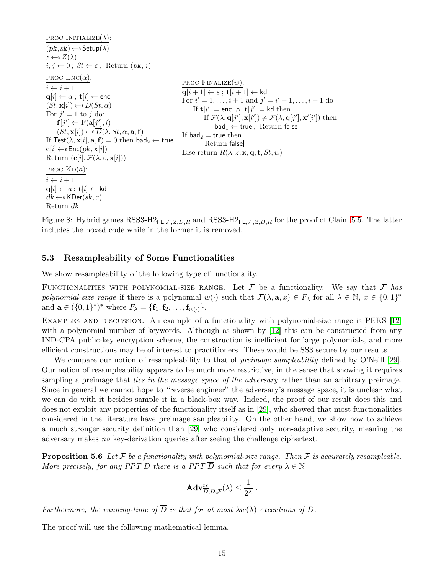<span id="page-15-3"></span>PROC INITIALIZE $(\lambda)$ :  $(pk, sk) \leftarrow s$  Setup $(\lambda)$  $z \leftarrow s Z(\lambda)$  $i, j \leftarrow 0$ ;  $St \leftarrow \varepsilon$ ; Return  $(pk, z)$ PROC  $Enc(\alpha)$ :  $i \leftarrow i + 1$  $q[i] \leftarrow \alpha$ ;  $t[i] \leftarrow$  enc  $(St, \mathbf{x}[i]) \leftarrow B St, \alpha)$ For  $j' = 1$  to  $j$  do:  $\widetilde{\mathbf{f}}[j'] \leftarrow \widetilde{\mathrm{F}}(\mathbf{a}[j'], i)$  $(St, \mathbf{x}[i]) \leftarrow B(\lambda, St, \alpha, \mathbf{a}, \mathbf{f})$ If Test( $\lambda$ ,  $\mathbf{x}[i]$ ,  $\mathbf{a}$ ,  $\mathbf{f}$ ) = 0 then bad<sub>2</sub>  $\leftarrow$  true  $c[i] \leftarrow s \textsf{Enc}(pk, \mathbf{x}[i])$ Return  $(c[i], \mathcal{F}(\lambda, \varepsilon, \mathbf{x}[i]))$ PROC  $KD(a)$ :  $i \leftarrow i + 1$  $q[i] \leftarrow a$ ;  $t[i] \leftarrow k$ d  $dk \leftarrow$  KDer(sk, a) PROC FINALIZE $(w)$ :  $\overline{q[i+1] \leftarrow \varepsilon$ ;  $\overline{t[i+1]} \leftarrow$  kd For  $i' = 1, ..., i + 1$  and  $j' = i' + 1, ..., i + 1$  do If  $\mathbf{t}[i'] = \text{enc} \land \mathbf{t}[j'] = \text{kd}$  then If  $\mathcal{F}(\lambda, \mathbf{q}[j'], \mathbf{x}[i']) \neq \mathcal{F}(\lambda, \mathbf{q}[j'], \mathbf{x}'[i'])$  then  $bad_1 \leftarrow true$ ; Return false If  $bad_2$  = true then Return false Else return  $R(\lambda, z, \mathbf{x}, \mathbf{q}, \mathbf{t}, St, w)$ 

<span id="page-15-0"></span>Figure 8: Hybrid games RSS3-H2<sub>FE, F, Z, D, R</sub> and RSS3-H2<sub>FE, F, Z, D, R for the proof of Claim [5.5.](#page-14-0) The latter</sub> includes the boxed code while in the former it is removed.

#### 5.3 Resampleability of Some Functionalities

Return dk

We show resampleability of the following type of functionality.

FUNCTIONALITIES WITH POLYNOMIAL-SIZE RANGE. Let  $\mathcal F$  be a functionality. We say that  $\mathcal F$  has polynomial-size range if there is a polynomial  $w(\cdot)$  such that  $\mathcal{F}(\lambda, \mathbf{a}, x) \in F_\lambda$  for all  $\lambda \in \mathbb{N}, x \in \{0, 1\}^*$ and  $\mathbf{a} \in (\{0,1\}^*)^*$  where  $F_{\lambda} = \{\mathbf{f}_1, \mathbf{f}_2, \dots, \mathbf{f}_{w(\cdot)}\}.$ 

EXAMPLES AND DISCUSSION. An example of a functionality with polynomial-size range is PEKS [\[12\]](#page-21-18) with a polynomial number of keywords. Although as shown by [\[12\]](#page-21-18) this can be constructed from any IND-CPA public-key encryption scheme, the construction is inefficient for large polynomials, and more efficient constructions may be of interest to practitioners. These would be SS3 secure by our results.

We compare our notion of resampleability to that of *preimage sampleability* defined by O'Neill [\[29\]](#page-22-2). Our notion of resampleability appears to be much more restrictive, in the sense that showing it requires sampling a preimage that *lies in the message space of the adversary* rather than an arbitrary preimage. Since in general we cannot hope to "reverse engineer" the adversary's message space, it is unclear what we can do with it besides sample it in a black-box way. Indeed, the proof of our result does this and does not exploit any properties of the functionality itself as in [\[29\]](#page-22-2), who showed that most functionalities considered in the literature have preimage sampleability. On the other hand, we show how to achieve a much stronger security definition than [\[29\]](#page-22-2) who considered only non-adaptive security, meaning the adversary makes no key-derivation queries after seeing the challenge ciphertext.

<span id="page-15-2"></span>**Proposition 5.6** Let F be a functionality with polynomial-size range. Then F is accurately resampleable. More precisely, for any PPT D there is a PPT  $\overline{D}$  such that for every  $\lambda \in \mathbb{N}$ 

$$
\mathbf{Adv}_{\overline{D},D,\mathcal{F}}^{\text{rs}}(\lambda) \leq \frac{1}{2^{\lambda}}.
$$

Furthermore, the running-time of  $\overline{D}$  is that for at most  $\lambda w(\lambda)$  executions of D.

<span id="page-15-1"></span>The proof will use the following mathematical lemma.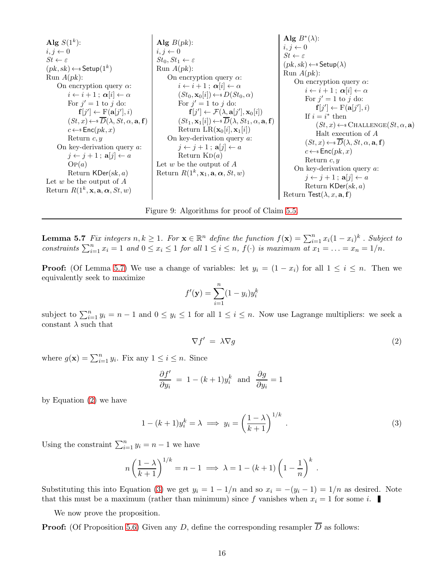| Alg | $S(1^k)$ : | \n $i, j \leftarrow 0$<br>\n $j \leftarrow j + 1$ ; $\alpha[i] \leftarrow \alpha$<br>\n        The term $K$ Der( $k, a$ )<br>\n        The term $R(1^k, x, a, \alpha, St, w)$ \n | \n <b>Alg</b> \n $B(k)$ :\n $i, j \leftarrow 0$<br>\n $j, j \leftarrow 0$ \n | \n <b>Alg</b> \n $B(k)$ :\n $i, j \leftarrow 0$<br>\n $i, j \leftarrow 0$<br>\n        The term $A(pk)$ :\n $i, j \leftarrow 0$<br>\n        The term $A(pk)$ :\n $i, j \leftarrow 0$<br>\n        The term $A(pk)$ :\n $i, j \leftarrow 0$<br>\n        The term $A(pk)$ :\n $i, j \leftarrow 0$<br>\n        The term $A(pk)$ :\n $i, j \leftarrow 0$<br>\n        The term $A(pk)$ :\n $i, j \leftarrow 0$<br>\n        The term $A(pk)$ :\n $i, j \leftarrow 0$<br>\n        The term $A(pk)$ :\n $i, j \leftarrow 0$<br>\n        The term $A(pk)$ :\n $i, j \leftarrow 0$<br>\n        The term $A(pk)$ :\n $i, j \leftarrow 0$<br>\n        The term $A(pk)$ :\n $i, j \leftarrow 0$<br>\n        The term $A(pk)$ :\n $i, j \leftarrow 0$<br>\n        The term $i, j \leftarrow 0$<br>\n        The term $j' = 1$ to $j$ do:\n $f[j'] \leftarrow F(\mathbf{a}[j'], \mathbf{x}_0[i])$<br>\n        The term $\mathbf{L}(\mathbf{x}_0[i], \mathbf{x}_1[i])$<br>\n        The term $\mathbf{L}(\mathbf{x}_0[i], \mathbf{x}_1[i])$<br>\n        The term $\mathbf{L}(\mathbf{x}_0[i], \mathbf{x}_1[i])$ |
|-----|------------|----------------------------------------------------------------------------------------------------------------------------------------------------------------------------------|------------------------------------------------------------------------------|--------------------------------------------------------------------------------------------------------------------------------------------------------------------------------------------------------------------------------------------------------------------------------------------------------------------------------------------------------------------------------------------------------------------------------------------------------------------------------------------------------------------------------------------------------------------------------------------------------------------------------------------------------------------------------------------------------------------------------------------------------------------------------------------------------------------------------------------------------------------------------------------------------------------------------------------------------------------------------------------------------------------------------------------------------------------------------------------------------------|
|-----|------------|----------------------------------------------------------------------------------------------------------------------------------------------------------------------------------|------------------------------------------------------------------------------|--------------------------------------------------------------------------------------------------------------------------------------------------------------------------------------------------------------------------------------------------------------------------------------------------------------------------------------------------------------------------------------------------------------------------------------------------------------------------------------------------------------------------------------------------------------------------------------------------------------------------------------------------------------------------------------------------------------------------------------------------------------------------------------------------------------------------------------------------------------------------------------------------------------------------------------------------------------------------------------------------------------------------------------------------------------------------------------------------------------|

<span id="page-16-0"></span>Figure 9: Algorithms for proof of Claim [5.5.](#page-14-0)

**Lemma 5.7** Fix integers  $n, k \geq 1$ . For  $\mathbf{x} \in \mathbb{R}^n$  define the function  $f(\mathbf{x}) = \sum_{i=1}^n x_i(1-x_i)^k$ . Subject to constraints  $\sum_{i=1}^n x_i = 1$  and  $0 \le x_i \le 1$  for all  $1 \le i \le n$ ,  $f(\cdot)$  is maximum  $\overline{at} x_1 = \ldots = x_n = 1/n$ .

**Proof:** (Of Lemma [5.7\)](#page-15-1) We use a change of variables: let  $y_i = (1 - x_i)$  for all  $1 \le i \le n$ . Then we equivalently seek to maximize

$$
f'(\mathbf{y}) = \sum_{i=1}^{n} (1 - y_i) y_i^k
$$

subject to  $\sum_{i=1}^{n} y_i = n-1$  and  $0 \le y_i \le 1$  for all  $1 \le i \le n$ . Now use Lagrange multipliers: we seek a constant  $\lambda$  such that

<span id="page-16-1"></span>
$$
\nabla f' = \lambda \nabla g \tag{2}
$$

where  $g(\mathbf{x}) = \sum_{i=1}^{n} y_i$ . Fix any  $1 \le i \le n$ . Since

$$
\frac{\partial f'}{\partial y_i} = 1 - (k+1)y_i^k \text{ and } \frac{\partial g}{\partial y_i} = 1
$$

by Equation [\(2\)](#page-16-1) we have

<span id="page-16-2"></span>
$$
1 - (k+1)y_i^k = \lambda \implies y_i = \left(\frac{1-\lambda}{k+1}\right)^{1/k} \tag{3}
$$

Using the constraint  $\sum_{i=1}^{n} y_i = n - 1$  we have

$$
n\left(\frac{1-\lambda}{k+1}\right)^{1/k} = n-1 \implies \lambda = 1 - (k+1)\left(1-\frac{1}{n}\right)^k.
$$

Substituting this into Equation [\(3\)](#page-16-2) we get  $y_i = 1 - 1/n$  and so  $x_i = -(y_i - 1) = 1/n$  as desired. Note that this must be a maximum (rather than minimum) since f vanishes when  $x_i = 1$  for some i.

We now prove the proposition.

**Proof:** (Of Proposition [5.6\)](#page-15-2) Given any D, define the corresponding resampler  $\overline{D}$  as follows: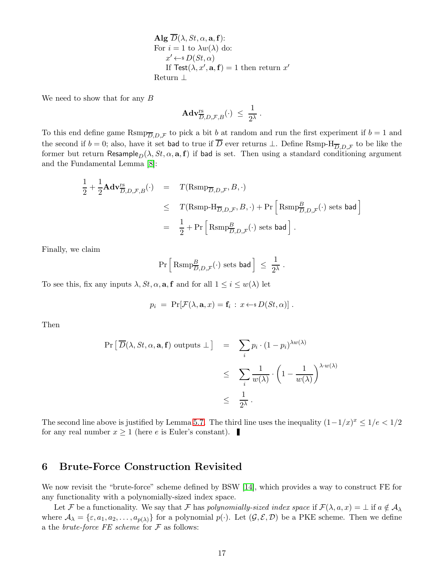**Alg** 
$$
\overline{D}(\lambda, St, \alpha, \mathbf{a}, \mathbf{f})
$$
:  
For  $i = 1$  to  $\lambda w(\lambda)$  do:  
 $x' \leftarrow s D(St, \alpha)$   
If Test $(\lambda, x', \mathbf{a}, \mathbf{f}) = 1$  then return  $x'$   
Return  $\perp$ 

<span id="page-17-0"></span>We need to show that for any B

$$
\mathbf{Adv}_{\overline{D},D,\mathcal{F},B}^{\text{rs}}(\cdot) \ \leq \ \frac{1}{2^{\lambda}} \ .
$$

To this end define game  $Ramp_{\overline{D},D,\mathcal{F}}$  to pick a bit b at random and run the first experiment if  $b=1$  and the second if  $b = 0$ ; also, have it set bad to true if D ever returns  $\perp$ . Define Rsmp-H<sub>D,D,F</sub> to be like the former but return Resample $_D(\lambda, St, \alpha, \mathbf{a}, \mathbf{f})$  if bad is set. Then using a standard conditioning argument and the Fundamental Lemma [\[8\]](#page-21-16):

$$
\frac{1}{2} + \frac{1}{2} \mathbf{Adv}_{\overline{D},D,\mathcal{F},B}^{\text{rs}}(\cdot) = T(\text{Rsmp}_{\overline{D},D,\mathcal{F}},B,\cdot)
$$
\n
$$
\leq T(\text{Rsmp-H}_{\overline{D},D,\mathcal{F}},B,\cdot) + \Pr\left[\text{Rsmp}_{\overline{D},D,\mathcal{F}}^B(\cdot) \text{ sets bad}\right]
$$
\n
$$
= \frac{1}{2} + \Pr\left[\text{Rsmp}_{\overline{D},D,\mathcal{F}}^B(\cdot) \text{ sets bad}\right].
$$

Finally, we claim

$$
\Pr\Big[\operatorname{Rsmp}_{\overline{D},D,\mathcal{F}}^B(\cdot) \text{ sets } \mathsf{bad}\Big] \leq \frac{1}{2^{\lambda}}\,.
$$

To see this, fix any inputs  $\lambda$ ,  $St$ ,  $\alpha$ ,  $\mathbf{a}$ ,  $\mathbf{f}$  and for all  $1 \leq i \leq w(\lambda)$  let

$$
p_i = \Pr[\mathcal{F}(\lambda, \mathbf{a}, x) = \mathbf{f}_i : x \leftarrow s D(St, \alpha)].
$$

Then

$$
\begin{array}{rcl} \Pr\left[\,\overline{D}(\lambda, St, \alpha, \mathbf{a}, \mathbf{f}) \text{ outputs } \bot\,\right] & = & \sum_{i} p_i \cdot (1 - p_i)^{\lambda w(\lambda)} \\ \\ & \leq & \sum_{i} \frac{1}{w(\lambda)} \cdot \left(1 - \frac{1}{w(\lambda)}\right)^{\lambda \cdot w(\lambda)} \\ \\ & \leq & \frac{1}{2^{\lambda}} \,. \end{array}
$$

The second line above is justified by Lemma [5.7.](#page-15-1) The third line uses the inequality  $(1-1/x)^x \le 1/e < 1/2$ for any real number  $x \geq 1$  (here e is Euler's constant).

## 6 Brute-Force Construction Revisited

We now revisit the "brute-force" scheme defined by BSW [\[14\]](#page-21-0), which provides a way to construct FE for any functionality with a polynomially-sized index space.

Let F be a functionality. We say that F has polynomially-sized index space if  $\mathcal{F}(\lambda, a, x) = \bot$  if  $a \notin A_{\lambda}$ where  $\mathcal{A}_{\lambda} = \{\varepsilon, a_1, a_2, \ldots, a_{p(\lambda)}\}$  for a polynomial  $p(\cdot)$ . Let  $(\mathcal{G}, \mathcal{E}, \mathcal{D})$  be a PKE scheme. Then we define a the *brute-force FE scheme* for  $\mathcal F$  as follows: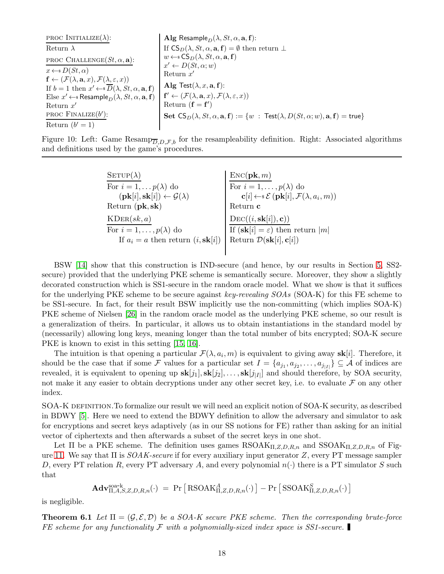<span id="page-18-2"></span>

| PROC INITIALIZE( $\lambda$ ):                                                                       | Alg Resample <sub>D</sub> $(\lambda, St, \alpha, \mathbf{a}, \mathbf{f})$ :                                                                      |
|-----------------------------------------------------------------------------------------------------|--------------------------------------------------------------------------------------------------------------------------------------------------|
| Return $\lambda$                                                                                    | If $CS_D(\lambda, St, \alpha, \mathbf{a}, \mathbf{f}) = \emptyset$ then return $\perp$                                                           |
| PROC CHALLENGE $(St, \alpha, \mathbf{a})$ :                                                         | $w \leftarrow \s{S_D(\lambda, St, \alpha, \mathbf{a}, \mathbf{f})$                                                                               |
| $x \leftarrow s D(St, \alpha)$                                                                      | $x' \leftarrow D(St, \alpha; w)$                                                                                                                 |
| $\mathbf{f} \leftarrow (\mathcal{F}(\lambda, \mathbf{a}, x), \mathcal{F}(\lambda, \varepsilon, x))$ | Return $x'$                                                                                                                                      |
| If $b = 1$ then $x' \leftarrow \overline{D}(\lambda, St, \alpha, \mathbf{a}, \mathbf{f})$           | Alg Test $(\lambda, x, a, f)$ :                                                                                                                  |
| Else $x' \leftarrow$ Resample <sub>D</sub> $(\lambda, St, \alpha, \mathbf{a}, \mathbf{f})$          | $\mathbf{f}' \leftarrow (\mathcal{F}(\lambda, \mathbf{a}, x), \mathcal{F}(\lambda, \varepsilon, x))$                                             |
| Return $x'$                                                                                         | Return $(f = f')$                                                                                                                                |
| PROC FINALIZE $(b')$ :                                                                              | Set $CS_D(\lambda, St, \alpha, \mathbf{a}, \mathbf{f}) := \{w : \text{Test}(\lambda, D(St, \alpha; w), \mathbf{a}, \mathbf{f}) = \text{true}\}\$ |
| Return $(b' = 1)$                                                                                   |                                                                                                                                                  |

Figure 10: Left: Game Resamp $_{\overline{D},D,\mathcal{F},b}$  for the resampleability definition. Right: Associated algorithms and definitions used by the game's procedures.

<span id="page-18-0"></span>

| $\text{SETUP}(\lambda)$                                            | $\text{Enc}(\textbf{pk}, m)$                                                         |
|--------------------------------------------------------------------|--------------------------------------------------------------------------------------|
| For $i = 1, \ldots p(\lambda)$ do                                  | For $i = 1, \ldots, p(\lambda)$ do                                                   |
| $(\mathbf{pk}[i], \mathbf{sk}[i]) \leftarrow \mathcal{G}(\lambda)$ | $\mathbf{c}[i] \leftarrow \mathcal{E}(\mathbf{pk}[i], \mathcal{F}(\lambda, a_i, m))$ |
| Return $(\mathbf{pk}, \mathbf{sk})$                                | Return c                                                                             |
| $\text{KDer}(sk, a)$                                               | $\mathrm{DEC}((i,\mathbf{sk}[i]),\mathbf{c}))$                                       |
| For $i = 1, \ldots, p(\lambda)$ do                                 | If $(\mathbf{sk}[i] = \varepsilon)$ then return  m                                   |
| If $a_i = a$ then return $(i, s\mathbf{k}[i])$                     | Return $\mathcal{D}(\mathbf{sk}[i], \mathbf{c}[i])$                                  |
|                                                                    |                                                                                      |

BSW [\[14\]](#page-21-0) show that this construction is IND-secure (and hence, by our results in Section [5,](#page-11-2) SS2 secure) provided that the underlying PKE scheme is semantically secure. Moreover, they show a slightly decorated construction which is SS1-secure in the random oracle model. What we show is that it suffices for the underlying PKE scheme to be secure against key-revealing  $SOAs$  (SOA-K) for this FE scheme to be SS1-secure. In fact, for their result BSW implicitly use the non-committing (which implies SOA-K) PKE scheme of Nielsen [\[26\]](#page-21-4) in the random oracle model as the underlying PKE scheme, so our result is a generalization of theirs. In particular, it allows us to obtain instantiations in the standard model by (necessarily) allowing long keys, meaning longer than the total number of bits encrypted; SOA-K secure PKE is known to exist in this setting [\[15,](#page-21-10) [16\]](#page-21-11).

The intuition is that opening a particular  $\mathcal{F}(\lambda, a_i, m)$  is equivalent to giving away  $\mathbf{sk}[i]$ . Therefore, it should be the case that if some F values for a particular set  $I = \{a_{j_1}, a_{j_2}, \ldots, a_{j_{|I|}}\} \subseteq A$  of indices are revealed, it is equivalent to opening up  $sk[j_1], sk[j_2], \ldots, sk[j_{|I|}]$  and should therefore, by SOA security, not make it any easier to obtain decryptions under any other secret key, i.e. to evaluate  $\mathcal F$  on any other index.

SOA-K definition.To formalize our result we will need an explicit notion of SOA-K security, as described in BDWY [\[5\]](#page-20-0). Here we need to extend the BDWY definition to allow the adversary and simulator to ask for encryptions and secret keys adaptively (as in our SS notions for FE) rather than asking for an initial vector of ciphertexts and then afterwards a subset of the secret keys in one shot.

Let  $\Pi$  be a PKE scheme. The definition uses games  $RSOAK_{\Pi,Z,D,R,n}$  and  $SSOAK_{\Pi,Z,D,R,n}$  of Fig-ure [11.](#page-19-0) We say that  $\Pi$  is  $SOAK\text{-}secure$  if for every auxiliary input generator Z, every PT message sampler D, every PT relation R, every PT adversary A, and every polynomial  $n(\cdot)$  there is a PT simulator S such that

$$
\mathbf{Adv}_{\Pi,A,S,Z,D,R,n}^{\text{soa-k}}(\cdot) = \Pr\left[\,\text{RSOAK}_{\Pi,Z,D,R,n}^{A}(\cdot)\,\right] - \Pr\left[\,\text{SSOAK}_{\Pi,Z,D,R,n}^{S}(\cdot)\,\right]
$$

1

<span id="page-18-1"></span>is negligible.

**Theorem 6.1** Let  $\Pi = (\mathcal{G}, \mathcal{E}, \mathcal{D})$  be a SOA-K secure PKE scheme. Then the corresponding brute-force FE scheme for any functionality  $\mathcal F$  with a polynomially-sized index space is SS1-secure.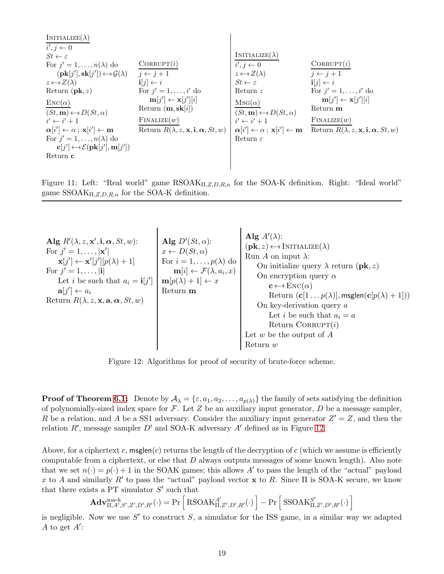| INITIALIZE( $\lambda$ )                                                  |                                                               |                                                                         |                                                               |
|--------------------------------------------------------------------------|---------------------------------------------------------------|-------------------------------------------------------------------------|---------------------------------------------------------------|
| $i', j \leftarrow 0$                                                     |                                                               |                                                                         |                                                               |
| $St \leftarrow \varepsilon$                                              |                                                               | INITIALIZE $(\lambda)$                                                  |                                                               |
| For $j' = 1, \ldots, n(\lambda)$ do                                      | CORRUPT(i)                                                    | $i', j \leftarrow 0$                                                    | CORRUPT(i)                                                    |
| $(\mathbf{pk}[j'], \mathbf{sk}[j']) \leftarrow \mathcal{G}(\lambda)$     | $j \leftarrow j+1$                                            | $z \leftarrow \s Z(\lambda)$                                            | $j \leftarrow j + 1$                                          |
| $z \leftarrow s Z(\lambda)$                                              | $\mathbf{i}[j] \leftarrow i$                                  | $St \leftarrow \varepsilon$                                             | $\mathbf{i}[j] \leftarrow i$                                  |
| Return $(\mathbf{pk}, z)$                                                | For $j' = 1, \ldots, i'$ do                                   | Return z                                                                | For $j' = 1, \ldots, i'$ do                                   |
| $\text{Enc}(\alpha)$                                                     | $\mathbf{m}[j'] \leftarrow \mathbf{x}[j'][i]$                 | $\text{MSG}(\alpha)$                                                    | $\mathbf{m}[j'] \leftarrow \mathbf{x}[j'][i]$                 |
| $(St, \mathbf{m}) \leftarrow B St, \alpha)$                              | Return $(m, sk[i])$                                           | $(St, \mathbf{m}) \leftarrow B St, \alpha)$                             | Return m                                                      |
| $i' \leftarrow i' + 1$                                                   | $\text{FinALIZE}(w)$                                          | $i' \leftarrow i' + 1$                                                  | $\text{FINALIZE}(w)$                                          |
| $\alpha[i'] \leftarrow \alpha$ ; $\mathbf{x}[i'] \leftarrow \mathbf{m}$  | Return $R(\lambda, z, \mathbf{x}, \mathbf{i}, \alpha, St, w)$ | $\alpha[i'] \leftarrow \alpha$ ; $\mathbf{x}[i'] \leftarrow \mathbf{m}$ | Return $R(\lambda, z, \mathbf{x}, \mathbf{i}, \alpha, St, w)$ |
| For $j' = 1, \ldots, n(\lambda)$ do                                      |                                                               | Return $\varepsilon$                                                    |                                                               |
| $\mathbf{c}[j'] \leftarrow \mathcal{E}(\mathbf{pk}[j'], \mathbf{m}[j'])$ |                                                               |                                                                         |                                                               |
| Return c                                                                 |                                                               |                                                                         |                                                               |
|                                                                          |                                                               |                                                                         |                                                               |

<span id="page-19-0"></span>Figure 11: Left: "Real world" game  $\text{RSOAK}_{\Pi, Z, D, R, n}$  for the SOA-K definition. Right: "Ideal world" game  $SSOAK_{\Pi,Z,D,R,n}$  for the SOA-K definition.

<span id="page-19-1"></span>Figure 12: Algorithms for proof of security of brute-force scheme.

**Proof of Theorem [6.1:](#page-18-1)** Denote by  $A_{\lambda} = \{\varepsilon, a_1, a_2, \ldots, a_{p(\lambda)}\}$  the family of sets satisfying the definition of polynomially-sized index space for  $\mathcal F$ . Let Z be an auxiliary input generator, D be a message sampler, R be a relation, and A be a SS1 adversary. Consider the auxiliary input generator  $Z' = Z$ , and then the relation  $R'$ , message sampler  $D'$  and SOA-K adversary  $A'$  defined as in Figure [12.](#page-19-1)

Above, for a ciphertext c, msglen(c) returns the length of the decryption of  $c$  (which we assume is efficiently computable from a ciphertext, or else that  $D$  always outputs messages of some known length). Also note that we set  $n(\cdot) = p(\cdot) + 1$  in the SOAK games; this allows A' to pass the length of the "actual" payload x to A and similarly R' to pass the "actual" payload vector x to R. Since  $\Pi$  is SOA-K secure, we know that there exists a PT simulator  $S'$  such that

$$
\mathbf{Adv}_{\Pi,A',S',Z',D',R'}^{\text{soak}}(\cdot) = \Pr\Big[\operatorname{RSOAK}_{\Pi,Z',D',R'}^{A'}(\cdot)\Big] - \Pr\Big[\operatorname{SSOAK}_{\Pi,Z',D',R'}^{S'}(\cdot)\Big]
$$

is negligible. Now we use  $S'$  to construct  $S$ , a simulator for the ISS game, in a similar way we adapted A to get  $A'$ :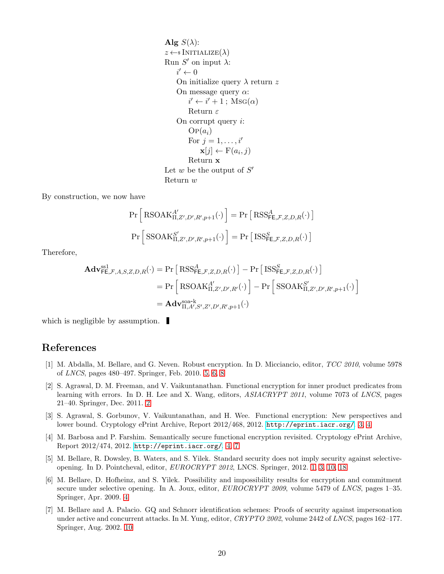```
Alg S(\lambda):
z \leftarrow$ Initialize(\lambda)
Run S' on input \lambda:
     i' \leftarrow 0On initialize query \lambda return z
    On message query \alpha:
          i' \leftarrow i' + 1; MsG(\alpha)
         Return \varepsilonOn corrupt query i:
         \text{OP}(a_i)For j = 1, \ldots, i'\mathbf{x}[j] \leftarrow \mathrm{F}(a_i, j)Return x
Let w be the output of S'Return w
```
By construction, we now have

$$
\Pr\left[\text{RSOAK}_{\Pi,Z',D',R',p+1}^{A'}(\cdot)\right] = \Pr\left[\text{RSS}_{\mathsf{FE},\mathcal{F},Z,D,R}^{A}(\cdot)\right]
$$

$$
\Pr\left[\text{SSOAK}_{\Pi,Z',D',R',p+1}^{S'}(\cdot)\right] = \Pr\left[\text{ISS}_{\mathsf{FE},\mathcal{F},Z,D,R}^{S}(\cdot)\right]
$$

Therefore,

$$
\mathbf{Adv}_{\mathsf{FE},\mathcal{F},A,S,Z,D,R}^{\mathrm{ss1}}(\cdot) = \Pr\left[\operatorname{RSS}_{\mathsf{FE},\mathcal{F},Z,D,R}^A(\cdot)\right] - \Pr\left[\operatorname{ISS}_{\mathsf{FE},\mathcal{F},Z,D,R}^S(\cdot)\right]
$$

$$
= \Pr\left[\operatorname{RSOAK}_{\Pi,Z',D',R'}^{A'}(\cdot)\right] - \Pr\left[\operatorname{SSOAK}_{\Pi,Z',D',R',p+1}^{S'}(\cdot)\right]
$$

$$
= \mathbf{Adv}_{\Pi,A',S',Z',D',R',p+1}^{\mathrm{ssa-k}}(\cdot)
$$

which is negligible by assumption.

# <span id="page-20-5"></span>References

- [1] M. Abdalla, M. Bellare, and G. Neven. Robust encryption. In D. Micciancio, editor, TCC 2010, volume 5978 of LNCS, pages 480–497. Springer, Feb. 2010. [5,](#page-5-0) [6,](#page-6-1) [8](#page-8-2)
- <span id="page-20-1"></span>[2] S. Agrawal, D. M. Freeman, and V. Vaikuntanathan. Functional encryption for inner product predicates from learning with errors. In D. H. Lee and X. Wang, editors, ASIACRYPT 2011, volume 7073 of LNCS, pages 21–40. Springer, Dec. 2011. [2](#page-2-1)
- <span id="page-20-2"></span>[3] S. Agrawal, S. Gorbunov, V. Vaikuntanathan, and H. Wee. Functional encryption: New perspectives and lower bound. Cryptology ePrint Archive, Report 2012/468, 2012. <http://eprint.iacr.org/>. [3,](#page-3-0) [4](#page-4-0)
- <span id="page-20-4"></span>[4] M. Barbosa and P. Farshim. Semantically secure functional encryption revisited. Cryptology ePrint Archive, Report 2012/474, 2012. <http://eprint.iacr.org/>. [4,](#page-4-0) [7](#page-7-1)
- <span id="page-20-0"></span>[5] M. Bellare, R. Dowsley, B. Waters, and S. Yilek. Standard security does not imply security against selectiveopening. In D. Pointcheval, editor, EUROCRYPT 2012, LNCS. Springer, 2012. [1,](#page-1-0) [3,](#page-3-0) [10,](#page-10-3) [18](#page-18-2)
- <span id="page-20-3"></span>[6] M. Bellare, D. Hofheinz, and S. Yilek. Possibility and impossibility results for encryption and commitment secure under selective opening. In A. Joux, editor, EUROCRYPT 2009, volume 5479 of LNCS, pages 1–35. Springer, Apr. 2009. [4](#page-4-0)
- <span id="page-20-6"></span>[7] M. Bellare and A. Palacio. GQ and Schnorr identification schemes: Proofs of security against impersonation under active and concurrent attacks. In M. Yung, editor, CRYPTO 2002, volume 2442 of LNCS, pages 162-177. Springer, Aug. 2002. [10](#page-10-3)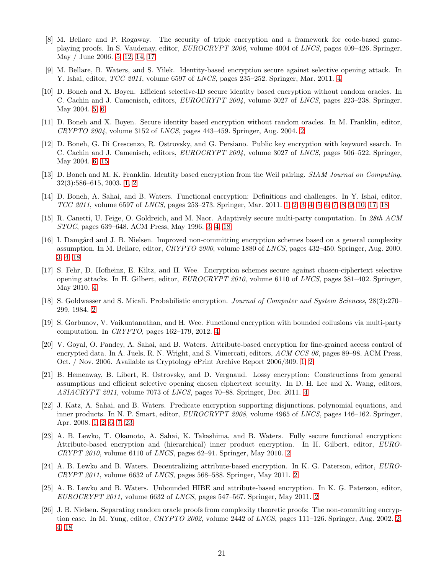- <span id="page-21-16"></span>[8] M. Bellare and P. Rogaway. The security of triple encryption and a framework for code-based gameplaying proofs. In S. Vaudenay, editor, EUROCRYPT 2006, volume 4004 of LNCS, pages 409–426. Springer, May / June 2006. [5,](#page-5-0) [12,](#page-12-2) [14,](#page-14-1) [17](#page-17-0)
- <span id="page-21-17"></span><span id="page-21-14"></span>[9] M. Bellare, B. Waters, and S. Yilek. Identity-based encryption secure against selective opening attack. In Y. Ishai, editor, *TCC 2011*, volume 6597 of *LNCS*, pages 235–252. Springer, Mar. 2011. [4](#page-4-0)
- [10] D. Boneh and X. Boyen. Efficient selective-ID secure identity based encryption without random oracles. In C. Cachin and J. Camenisch, editors, EUROCRYPT 2004, volume 3027 of LNCS, pages 223–238. Springer, May 2004. [5,](#page-5-0) [6](#page-6-1)
- <span id="page-21-18"></span><span id="page-21-6"></span>[11] D. Boneh and X. Boyen. Secure identity based encryption without random oracles. In M. Franklin, editor, CRYPTO 2004, volume 3152 of LNCS, pages 443–459. Springer, Aug. 2004. [2](#page-2-1)
- [12] D. Boneh, G. Di Crescenzo, R. Ostrovsky, and G. Persiano. Public key encryption with keyword search. In C. Cachin and J. Camenisch, editors, *EUROCRYPT 2004*, volume 3027 of *LNCS*, pages 506–522. Springer, May 2004. [6,](#page-6-1) [15](#page-15-3)
- <span id="page-21-1"></span>[13] D. Boneh and M. K. Franklin. Identity based encryption from the Weil pairing. SIAM Journal on Computing, 32(3):586–615, 2003. [1,](#page-1-0) [2](#page-2-1)
- <span id="page-21-0"></span>[14] D. Boneh, A. Sahai, and B. Waters. Functional encryption: Definitions and challenges. In Y. Ishai, editor, TCC 2011, volume 6597 of LNCS, pages 253–273. Springer, Mar. 2011. [1,](#page-1-0) [2,](#page-2-1) [3,](#page-3-0) [4,](#page-4-0) [5,](#page-5-0) [6,](#page-6-1) [7,](#page-7-1) [8,](#page-8-2) [9,](#page-9-2) [10,](#page-10-3) [17,](#page-17-0) [18](#page-18-2)
- <span id="page-21-11"></span><span id="page-21-10"></span>[15] R. Canetti, U. Feige, O. Goldreich, and M. Naor. Adaptively secure multi-party computation. In 28th ACM STOC, pages 639–648. ACM Press, May 1996. [3,](#page-3-0) [4,](#page-4-0) [18](#page-18-2)
- [16] I. Damgård and J. B. Nielsen. Improved non-committing encryption schemes based on a general complexity assumption. In M. Bellare, editor, CRYPTO 2000, volume 1880 of LNCS, pages 432–450. Springer, Aug. 2000. [3,](#page-3-0) [4,](#page-4-0) [18](#page-18-2)
- <span id="page-21-12"></span>[17] S. Fehr, D. Hofheinz, E. Kiltz, and H. Wee. Encryption schemes secure against chosen-ciphertext selective opening attacks. In H. Gilbert, editor, EUROCRYPT 2010, volume 6110 of LNCS, pages 381–402. Springer, May 2010. [4](#page-4-0)
- <span id="page-21-5"></span>[18] S. Goldwasser and S. Micali. Probabilistic encryption. Journal of Computer and System Sciences, 28(2):270– 299, 1984. [2](#page-2-1)
- <span id="page-21-15"></span>[19] S. Gorbunov, V. Vaikuntanathan, and H. Wee. Functional encryption with bounded collusions via multi-party computation. In CRYPTO, pages 162–179, 2012. [4](#page-4-0)
- <span id="page-21-2"></span>[20] V. Goyal, O. Pandey, A. Sahai, and B. Waters. Attribute-based encryption for fine-grained access control of encrypted data. In A. Juels, R. N. Wright, and S. Vimercati, editors, ACM CCS 06, pages 89–98. ACM Press, Oct. / Nov. 2006. Available as Cryptology ePrint Archive Report 2006/309. [1,](#page-1-0) [2](#page-2-1)
- <span id="page-21-13"></span>[21] B. Hemenway, B. Libert, R. Ostrovsky, and D. Vergnaud. Lossy encryption: Constructions from general assumptions and efficient selective opening chosen ciphertext security. In D. H. Lee and X. Wang, editors, ASIACRYPT 2011, volume 7073 of LNCS, pages 70–88. Springer, Dec. 2011. [4](#page-4-0)
- <span id="page-21-3"></span>[22] J. Katz, A. Sahai, and B. Waters. Predicate encryption supporting disjunctions, polynomial equations, and inner products. In N. P. Smart, editor, EUROCRYPT 2008, volume 4965 of LNCS, pages 146–162. Springer, Apr. 2008. [1,](#page-1-0) [2,](#page-2-1) [6,](#page-6-1) [7,](#page-7-1) [23](#page-23-0)
- <span id="page-21-7"></span>[23] A. B. Lewko, T. Okamoto, A. Sahai, K. Takashima, and B. Waters. Fully secure functional encryption: Attribute-based encryption and (hierarchical) inner product encryption. In H. Gilbert, editor, EURO- $CRYPT 2010$  $CRYPT 2010$  $CRYPT 2010$ , volume 6110 of *LNCS*, pages 62–91. Springer, May 2010. 2
- <span id="page-21-9"></span>[24] A. B. Lewko and B. Waters. Decentralizing attribute-based encryption. In K. G. Paterson, editor, EURO-CRYPT 2011, volume 6632 of LNCS, pages 568–588. Springer, May 2011. [2](#page-2-1)
- <span id="page-21-8"></span>[25] A. B. Lewko and B. Waters. Unbounded HIBE and attribute-based encryption. In K. G. Paterson, editor,  $EUROCRYPT 2011$  $EUROCRYPT 2011$  $EUROCRYPT 2011$ , volume 6632 of *LNCS*, pages 547–567. Springer, May 2011. 2
- <span id="page-21-4"></span>[26] J. B. Nielsen. Separating random oracle proofs from complexity theoretic proofs: The non-committing encryption case. In M. Yung, editor, *CRYPTO 2002*, volume 2442 of *LNCS*, pages 111–126. Springer, Aug. 2002. [2,](#page-2-1) [4,](#page-4-0) [18](#page-18-2)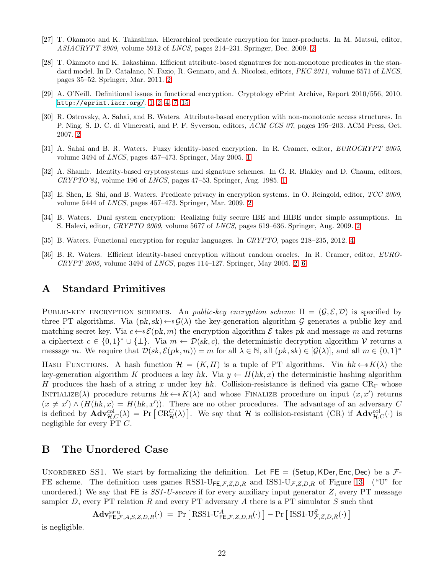- <span id="page-22-8"></span><span id="page-22-6"></span>[27] T. Okamoto and K. Takashima. Hierarchical predicate encryption for inner-products. In M. Matsui, editor, ASIACRYPT 2009, volume 5912 of LNCS, pages 214–231. Springer, Dec. 2009. [2](#page-2-1)
- [28] T. Okamoto and K. Takashima. Efficient attribute-based signatures for non-monotone predicates in the standard model. In D. Catalano, N. Fazio, R. Gennaro, and A. Nicolosi, editors, PKC 2011, volume 6571 of LNCS, pages 35–52. Springer, Mar. 2011. [2](#page-2-1)
- <span id="page-22-5"></span><span id="page-22-2"></span>[29] A. O'Neill. Definitional issues in functional encryption. Cryptology ePrint Archive, Report 2010/556, 2010. <http://eprint.iacr.org/>. [1,](#page-1-0) [2,](#page-2-1) [4,](#page-4-0) [7,](#page-7-1) [15](#page-15-3)
- [30] R. Ostrovsky, A. Sahai, and B. Waters. Attribute-based encryption with non-monotonic access structures. In P. Ning, S. D. C. di Vimercati, and P. F. Syverson, editors, ACM CCS 07, pages 195–203. ACM Press, Oct. 2007. [2](#page-2-1)
- <span id="page-22-1"></span><span id="page-22-0"></span>[31] A. Sahai and B. R. Waters. Fuzzy identity-based encryption. In R. Cramer, editor, EUROCRYPT 2005, volume 3494 of LNCS, pages 457–473. Springer, May 2005. [1](#page-1-0)
- <span id="page-22-7"></span>[32] A. Shamir. Identity-based cryptosystems and signature schemes. In G. R. Blakley and D. Chaum, editors, CRYPTO'84, volume 196 of LNCS, pages 47–53. Springer, Aug. 1985. [1](#page-1-0)
- <span id="page-22-4"></span>[33] E. Shen, E. Shi, and B. Waters. Predicate privacy in encryption systems. In O. Reingold, editor, TCC 2009, volume 5444 of LNCS, pages 457–473. Springer, Mar. 2009. [2](#page-2-1)
- [34] B. Waters. Dual system encryption: Realizing fully secure IBE and HIBE under simple assumptions. In S. Halevi, editor, CRYPTO 2009, volume 5677 of LNCS, pages 619–636. Springer, Aug. 2009. [2](#page-2-1)
- <span id="page-22-9"></span><span id="page-22-3"></span>[35] B. Waters. Functional encryption for regular languages. In CRYPTO, pages 218–235, 2012. [4](#page-4-0)
- [36] B. R. Waters. Efficient identity-based encryption without random oracles. In R. Cramer, editor, EURO-*CRYPT 2005*, volume 3494 of *LNCS*, pages 114–127. Springer, May 2005. [2,](#page-2-1) [6](#page-6-1)

## <span id="page-22-10"></span>A Standard Primitives

PUBLIC-KEY ENCRYPTION SCHEMES. An *public-key encryption scheme*  $\Pi = (\mathcal{G}, \mathcal{E}, \mathcal{D})$  is specified by three PT algorithms. Via  $(pk, sk) \leftarrow s \mathcal{G}(\lambda)$  the key-generation algorithm G generates a public key and matching secret key. Via  $c \leftarrow \varepsilon(pk, m)$  the encryption algorithm  $\varepsilon$  takes pk and message m and returns a ciphertext  $c \in \{0,1\}^* \cup \{\perp\}$ . Via  $m \leftarrow \mathcal{D}(sk, c)$ , the deterministic decryption algorithm V returns a message m. We require that  $\mathcal{D}(sk, \mathcal{E}(pk, m)) = m$  for all  $\lambda \in \mathbb{N}$ , all  $(pk, sk) \in [\mathcal{G}(\lambda)]$ , and all  $m \in \{0, 1\}^*$ 

HASH FUNCTIONS. A hash function  $\mathcal{H} = (K, H)$  is a tuple of PT algorithms. Via  $hk \leftrightarrow K(\lambda)$  the key-generation algorithm K produces a key hk. Via  $y \leftarrow H(hk, x)$  the deterministic hashing algorithm H produces the hash of a string x under key hk. Collision-resistance is defined via game  $CR<sub>\Gamma</sub>$  whose INITIALIZE( $\lambda$ ) procedure returns  $hk \leftarrow k(\lambda)$  and whose FINALIZE procedure on input  $(x, x')$  returns  $(x \neq x') \wedge (H(hk, x) = H(hk, x'))$ . There are no other procedures. The advantage of an adversary C is defined by  $\mathbf{Adv}_{\mathcal{H},C}^{\text{col}}(\lambda) = \Pr[\ \text{CR}_{\mathcal{H}}^C(\lambda) \ ]$ . We say that  $\mathcal{H}$  is collision-resistant (CR) if  $\mathbf{Adv}_{\mathcal{H},C}^{\text{col}}(\cdot)$  is negligible for every PT C.

## <span id="page-22-11"></span>B The Unordered Case

 $\mathbf{A}$ 

UNORDERED SS1. We start by formalizing the definition. Let  $FE = (Setup, KDer, Enc, Dec)$  be a  $\mathcal{F}$ -FE scheme. The definition uses games RSS1-U<sub>FE, F, Z, D, R</sub> and ISS1-U<sub>F, Z, D, R</sub> of Figure [13.](#page-23-1) ("U" for unordered.) We say that FE is  $SS1-U\text{-}secure$  if for every auxiliary input generator Z, every PT message sampler  $D$ , every PT relation  $R$  and every PT adversary  $A$  there is a PT simulator  $S$  such that

$$
\mathbf{dv}_{\mathsf{FE},\mathcal{F},A,S,Z,D,R}^{\mathsf{ss-u}}(\cdot) = \Pr\left[\text{RSS1-U}_{\mathsf{FE},\mathcal{F},Z,D,R}^A(\cdot)\right] - \Pr\left[\text{ISS1-U}_{\mathcal{F},Z,D,R}^S(\cdot)\right]
$$

is negligible.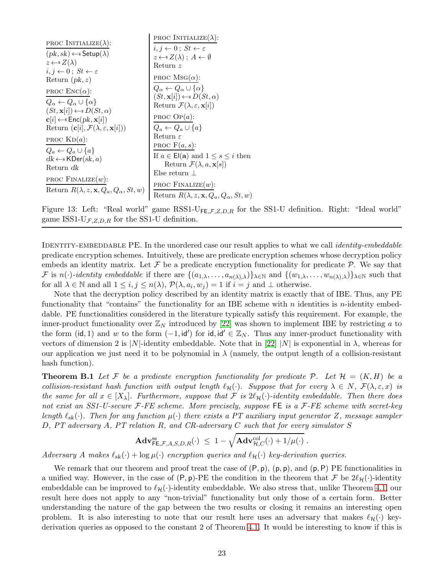<span id="page-23-0"></span>

|                                                                   | PROC INITIALIZE( $\lambda$ ):                                                                                          |
|-------------------------------------------------------------------|------------------------------------------------------------------------------------------------------------------------|
| PROC INITIALIZE( $\lambda$ ):                                     | $i, j \leftarrow 0$ ; $St \leftarrow \varepsilon$                                                                      |
| $(pk, sk) \leftarrow$ Setup $(\lambda)$                           | $z \leftarrow * Z(\lambda)$ ; $A \leftarrow \emptyset$                                                                 |
| $z \leftarrow \in Z(\lambda)$                                     | Return $z$                                                                                                             |
| $i, j \leftarrow 0$ ; $St \leftarrow \varepsilon$                 |                                                                                                                        |
| Return $(pk, z)$                                                  | PROC $MSG(\alpha)$ :                                                                                                   |
| PROC $Enc(\alpha)$ :                                              | $Q_{\alpha} \leftarrow Q_{\alpha} \cup {\alpha}$                                                                       |
|                                                                   | $(St, \mathbf{x}[i]) \leftarrow \mathbf{s} D(St, \alpha)$<br>Return $\mathcal{F}(\lambda, \varepsilon, \mathbf{x}[i])$ |
| $Q_{\alpha} \leftarrow Q_{\alpha} \cup \{\alpha\}$                |                                                                                                                        |
| $(St, \mathbf{x}[i]) \leftarrow B St, \alpha)$                    |                                                                                                                        |
| $\mathbf{c}[i] \leftarrow \text{snc}(pk, \mathbf{x}[i])$          | PROC $\text{OP}(a)$ :                                                                                                  |
| Return $(c[i], \mathcal{F}(\lambda, \varepsilon, \mathbf{x}[i]))$ | $Q_a \leftarrow Q_a \cup \{a\}$                                                                                        |
| PROC $KD(a)$ :                                                    | Return $\varepsilon$                                                                                                   |
|                                                                   | PROC $F(a, s)$ :                                                                                                       |
| $Q_a \leftarrow Q_a \cup \{a\}$                                   | If $a \in \mathsf{El}(\mathbf{a})$ and $1 \leq s \leq i$ then                                                          |
| $dk \leftarrow$ KDer(sk, a)                                       | Return $\mathcal{F}(\lambda, a, \mathbf{x}[s])$                                                                        |
| Return dk                                                         | Else return $\perp$                                                                                                    |
| PROC FINALIZE $(w)$ :                                             |                                                                                                                        |
|                                                                   | PROC FINALIZE $(w)$ :                                                                                                  |
| Return $R(\lambda, z, \mathbf{x}, Q_a, Q_\alpha, St, w)$          | Return $R(\lambda, z, \mathbf{x}, Q_a, Q_\alpha, St, w)$                                                               |

<span id="page-23-1"></span>Figure 13: Left: "Real world" game RSS1-U<sub>FE</sub>, $F$ , $Z$ , $D$ , $R$  for the SS1-U definition. Right: "Ideal world" game ISS1- $U_{\mathcal{F},Z,D,R}$  for the SS1-U definition.

IDENTITY-EMBEDDABLE PE. In the unordered case our result applies to what we call *identity-embeddable* predicate encryption schemes. Intuitively, these are predicate encryption schemes whose decryption policy embeds an identity matrix. Let  $\mathcal F$  be a predicate encryption functionality for predicate  $\mathcal P$ . We say that F is  $n(\cdot)$ -identity embeddable if there are  $\{(a_{1,\lambda},\ldots,a_{n(\lambda),\lambda})\}_{\lambda\in\mathbb{N}}$  and  $\{(w_{1,\lambda},\ldots,w_{n(\lambda),\lambda})\}_{\lambda\in\mathbb{N}}$  such that for all  $\lambda \in \mathbb{N}$  and all  $1 \leq i, j \leq n(\lambda), \mathcal{P}(\lambda, a_i, w_j) = 1$  if  $i = j$  and  $\bot$  otherwise.

Note that the decryption policy described by an identity matrix is exactly that of IBE. Thus, any PE functionality that "contains" the functionality for an IBE scheme with n identities is n-identity embeddable. PE functionalities considered in the literature typically satisfy this requirement. For example, the inner-product functionality over  $\mathbb{Z}_N$  introduced by [\[22\]](#page-21-3) was shown to implement IBE by restricting a to the form (id, 1) and w to the form  $(-1, id')$  for id, id'  $\in \mathbb{Z}_N$ . Thus any inner-product functionality with vectors of dimension 2 is |N|-identity embeddable. Note that in [\[22\]](#page-21-3) |N| is exponential in  $\lambda$ , whereas for our application we just need it to be polynomial in  $\lambda$  (namely, the output length of a collision-resistant hash function).

<span id="page-23-2"></span>**Theorem B.1** Let F be a predicate encryption functionality for predicate P. Let  $\mathcal{H} = (K, H)$  be a collision-resistant hash function with output length  $\ell_H(\cdot)$ . Suppose that for every  $\lambda \in N$ ,  $\mathcal{F}(\lambda,\varepsilon,x)$  is the same for all  $x \in [X_\lambda]$ . Furthermore, suppose that F is  $2\ell_H(\cdot)$ -identity embeddable. Then there does not exist an SS1-U-secure F-FE scheme. More precisely, suppose FE is a F-FE scheme with secret-key length  $\ell_{sk}(\cdot)$ . Then for any function  $\mu(\cdot)$  there exists a PT auxiliary input generator Z, message sampler D, PT adversary A, PT relation R, and CR-adversary C such that for every simulator S

$$
\mathbf{Adv}_{\mathsf{FE},\mathcal{F},A,S,D,R}^{\mathrm{ss}}(\cdot) \ \leq \ 1 - \sqrt{\mathbf{Adv}_{\mathcal{H},C}^{\mathrm{col}}(\cdot) + 1/\mu(\cdot)} \ .
$$

Adversary A makes  $\ell_{sk}(\cdot) + \log \mu(\cdot)$  encryption queries and  $\ell_{H}(\cdot)$  key-derivation queries.

We remark that our theorem and proof treat the case of  $(P, p)$ ,  $(p, p)$ , and  $(p, P)$  PE functionalities in a unified way. However, in the case of  $(P, p)$ -PE the condition in the theorem that F be  $2\ell_H(\cdot)$ -identity embeddable can be improved to  $\ell_{\mathcal{H}}(\cdot)$ -identity embeddable. We also stress that, unlike Theorem [4.1,](#page-9-0) our result here does not apply to any "non-trivial" functionality but only those of a certain form. Better understanding the nature of the gap between the two results or closing it remains an interesting open problem. It is also interesting to note that our result here uses an adversary that makes  $\ell_{\mathcal{H}}(\cdot)$  keyderivation queries as opposed to the constant 2 of Theorem [4.1.](#page-9-0) It would be interesting to know if this is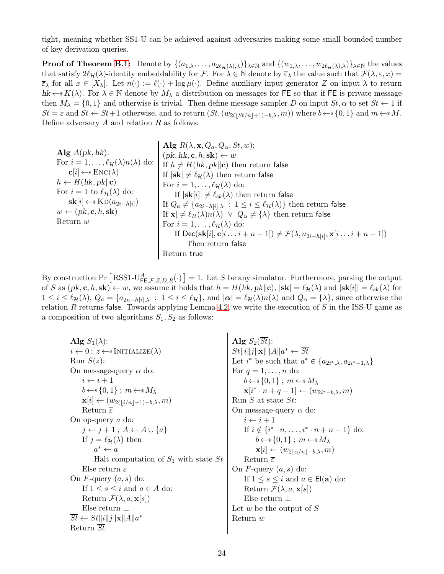tight, meaning whether SS1-U can be achieved against adversaries making some small bounded number of key derivation queries.

**Proof of Theorem [B.1:](#page-23-2)** Denote by  $\{(a_{1,\lambda},\ldots,a_{2\ell_{\mathcal{H}}(\lambda),\lambda})\}_{\lambda\in\mathbb{N}}$  and  $\{(w_{1,\lambda},\ldots,w_{2\ell_{\mathcal{H}}(\lambda),\lambda})\}_{\lambda\in\mathbb{N}}$  the values that satisfy  $2\ell_{\mathcal{H}}(\lambda)$ -identity embeddability for F. For  $\lambda \in \mathbb{N}$  denote by  $\overline{\varepsilon}_{\lambda}$  the value such that  $\mathcal{F}(\lambda, \varepsilon, x)$  $\overline{\varepsilon}_{\lambda}$  for all  $x \in [X_{\lambda}]$ . Let  $n(\cdot) := \ell(\cdot) + \log \mu(\cdot)$ . Define auxiliary input generator Z on input  $\lambda$  to return hk  $\leftarrow$  K( $\lambda$ ). For  $\lambda \in \mathbb{N}$  denote by  $M_{\lambda}$  a distribution on messages for FE so that if FE is private message then  $M_{\lambda} = \{0, 1\}$  and otherwise is trivial. Then define message sampler D on input  $St$ ,  $\alpha$  to set  $St \leftarrow 1$  if  $St = \varepsilon$  and  $St \leftarrow St +1$  otherwise, and to return  $(St, (w_{2(|St/n|+1)-b,\lambda}, m))$  where  $b \leftarrow s \{0, 1\}$  and  $m \leftarrow s M$ . Define adversary  $A$  and relation  $R$  as follows:

| Alg $A(pk, hk)$ :<br>For $i = 1, , \ell_{\mathcal{H}}(\lambda)n(\lambda)$ do:<br>$\mathbf{c}[i] \leftarrow \text{\$ENC}(\lambda)$<br>$h \leftarrow H(hk, pk  c)$<br>For $i = 1$ to $\ell_{\mathcal{H}}(\lambda)$ do:<br>$\mathbf{sk}[i] \leftarrow \{ \mathrm{KD}(a_{2i-h[i]})$ | Alg $R(\lambda, \mathbf{x}, Q_a, Q_\alpha, St, w)$ :<br>$(pk, hk, \mathbf{c}, h, \mathbf{sk}) \leftarrow w$<br>If $h \neq H(hk, pk  c)$ then return false<br>If $ \mathbf{sk}  \neq \ell_{\mathcal{H}}(\lambda)$ then return false<br>For $i = 1, \ldots, \ell_{\mathcal{H}}(\lambda)$ do:<br>If $ \mathbf{sk}[i]  \neq \ell_{sk}(\lambda)$ then return false<br>If $Q_a \neq \{a_{2i-h[i],\lambda} : 1 \leq i \leq \ell_{\mathcal{H}}(\lambda)\}\$ then return false |
|---------------------------------------------------------------------------------------------------------------------------------------------------------------------------------------------------------------------------------------------------------------------------------|-----------------------------------------------------------------------------------------------------------------------------------------------------------------------------------------------------------------------------------------------------------------------------------------------------------------------------------------------------------------------------------------------------------------------------------------------------------------------|
| $w \leftarrow (pk, \mathbf{c}, h, \mathbf{sk})$<br>Return $w$                                                                                                                                                                                                                   | If $\mathbf{x} \neq \ell_{\mathcal{H}}(\lambda) n(\lambda) \vee Q_{\alpha} \neq {\lambda}$ then return false<br>For $i = 1, \ldots, \ell_{\mathcal{H}}(\lambda)$ do:<br>If $\text{Dec}(\textbf{sk}[i], \textbf{c}[i \dots i+n-1]) \neq \mathcal{F}(\lambda, a_{2i-h[i]}, \textbf{x}[i \dots i+n-1])$                                                                                                                                                                  |
|                                                                                                                                                                                                                                                                                 | Then return false<br>Return true                                                                                                                                                                                                                                                                                                                                                                                                                                      |

By construction  $Pr\left[RSS1-U_{FE,\mathcal{F},Z,D,R}^{A}(\cdot)\right] = 1$ . Let S be any simulator. Furthermore, parsing the output of S as  $(pk, \mathbf{c}, h, \mathbf{sk}) \leftarrow w$ , we assume it holds that  $h = H(hk, pk|\mathbf{c})$ ,  $|\mathbf{sk}| = \ell_{\mathcal{H}}(\lambda)$  and  $|\mathbf{sk}[i]| = \ell_{sk}(\lambda)$  for  $1 \leq i \leq \ell_{\mathcal{H}}(\lambda), Q_a = \{a_{2n-h[i],\lambda} : 1 \leq i \leq \ell_{\mathcal{H}}\}, \text{ and } |\boldsymbol{\alpha}| = \ell_{\mathcal{H}}(\lambda)n(\lambda) \text{ and } Q_{\alpha} = \{\lambda\}, \text{ since otherwise the }$ relation R returns false. Towards applying Lemma [4.2,](#page-10-1) we write the execution of  $S$  in the ISS-U game as a composition of two algorithms  $S_1, S_2$  as follows:

| Alg $S_1(\lambda)$ :                                      | Alg $S_2(\overline{St})$ :                                                          |
|-----------------------------------------------------------|-------------------------------------------------------------------------------------|
| $i \leftarrow 0$ ; $z \leftarrow$ INITIALIZE( $\lambda$ ) | $St  i  j  \mathbf{x}     A  a^* \leftarrow \overline{St}$                          |
| Run $S(z)$ :                                              | Let i <sup>*</sup> be such that $a^* \in \{a_{2i^*,\lambda}, a_{2i^*-1,\lambda}\}\$ |
| On message-query $\alpha$ do:                             | For $q = 1, \ldots, n$ do:                                                          |
| $i \leftarrow i+1$                                        | $b \leftarrow \{0,1\}$ ; $m \leftarrow \{M_{\lambda}\}$                             |
| $b \leftarrow \{0,1\}$ ; $m \leftarrow M_{\lambda}$       | $\mathbf{x}[i^* \cdot n + q - 1] \leftarrow (w_{2i^* - b, \lambda}, m)$             |
| $\mathbf{x}[i] \leftarrow (w_{2( i/n +1)-b,\lambda}, m)$  | Run $S$ at state $St$ :                                                             |
| Return $\bar{\varepsilon}$                                | On message-query $\alpha$ do:                                                       |
| On op-query $a$ do:                                       | $i \leftarrow i+1$                                                                  |
| $j \leftarrow j+1$ ; $A \leftarrow A \cup \{a\}$          | If $i \notin \{i^* \cdot n, , i^* \cdot n + n - 1\}$ do:                            |
| If $j = \ell_{\mathcal{H}}(\lambda)$ then                 | $b \leftarrow \{0,1\}$ ; $m \leftarrow \{M_{\lambda}\}$                             |
| $a^* \leftarrow a$                                        | $\mathbf{x}[i] \leftarrow (w_{2 \alpha/n -b,\lambda}, m)$                           |
| Halt computation of $S_1$ with state $St$                 | Return $\bar{\varepsilon}$                                                          |
| Else return $\varepsilon$                                 | On F-query $(a, s)$ do:                                                             |
| On F-query $(a, s)$ do:                                   | If $1 \leq s \leq i$ and $a \in \mathsf{El}(\mathbf{a})$ do:                        |
| If $1 \leq s \leq i$ and $a \in A$ do:                    | Return $\mathcal{F}(\lambda, a, \mathbf{x}[s])$                                     |
| Return $\mathcal{F}(\lambda, a, \mathbf{x}[s])$           | Else return $\perp$                                                                 |
| Else return $\perp$                                       | Let w be the output of $S$                                                          |
| $St \leftarrow St  i  j  \mathbf{x}  A  a^*$              | Return $w$                                                                          |
| Return St                                                 |                                                                                     |